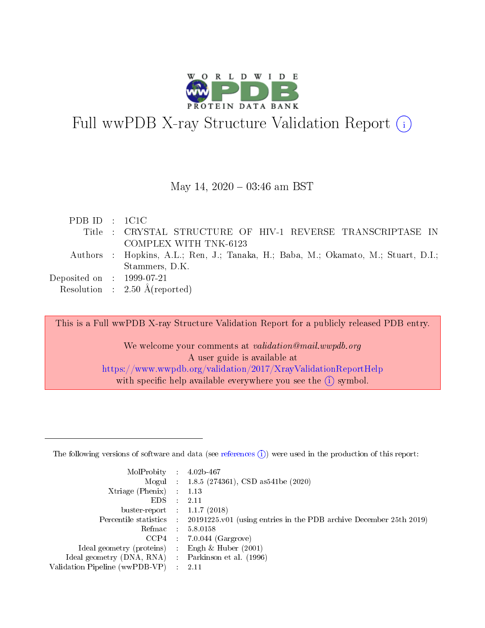

# Full wwPDB X-ray Structure Validation Report  $(i)$

#### May 14,  $2020 - 03:46$  am BST

| PDBID : IC1C                |                                                                                    |
|-----------------------------|------------------------------------------------------------------------------------|
|                             | Title : CRYSTAL STRUCTURE OF HIV-1 REVERSE TRANSCRIPTASE IN                        |
|                             | COMPLEX WITH TNK-6123                                                              |
|                             | Authors : Hopkins, A.L.; Ren, J.; Tanaka, H.; Baba, M.; Okamato, M.; Stuart, D.I.; |
|                             | Stammers, D.K.                                                                     |
| Deposited on : $1999-07-21$ |                                                                                    |
|                             | Resolution : $2.50 \text{ Å}$ (reported)                                           |

This is a Full wwPDB X-ray Structure Validation Report for a publicly released PDB entry.

We welcome your comments at validation@mail.wwpdb.org A user guide is available at <https://www.wwpdb.org/validation/2017/XrayValidationReportHelp> with specific help available everywhere you see the  $(i)$  symbol.

The following versions of software and data (see [references](https://www.wwpdb.org/validation/2017/XrayValidationReportHelp#references)  $(1)$ ) were used in the production of this report:

| MolProbity :                   |               | $4.02b - 467$                                                               |
|--------------------------------|---------------|-----------------------------------------------------------------------------|
|                                |               | Mogul : $1.8.5$ (274361), CSD as 541be (2020)                               |
| Xtriage (Phenix)               | $\mathcal{L}$ | 1.13                                                                        |
| EDS.                           |               | 2.11                                                                        |
| buster-report : $1.1.7$ (2018) |               |                                                                             |
| Percentile statistics :        |               | $20191225 \text{v}01$ (using entries in the PDB archive December 25th 2019) |
| Refmac :                       |               | 5.8.0158                                                                    |
| CCP4                           |               | $7.0.044$ (Gargrove)                                                        |
| Ideal geometry (proteins) :    |               | Engh & Huber $(2001)$                                                       |
| Ideal geometry (DNA, RNA) :    |               | Parkinson et al. (1996)                                                     |
| Validation Pipeline (wwPDB-VP) | $\mathcal{L}$ | 2.11                                                                        |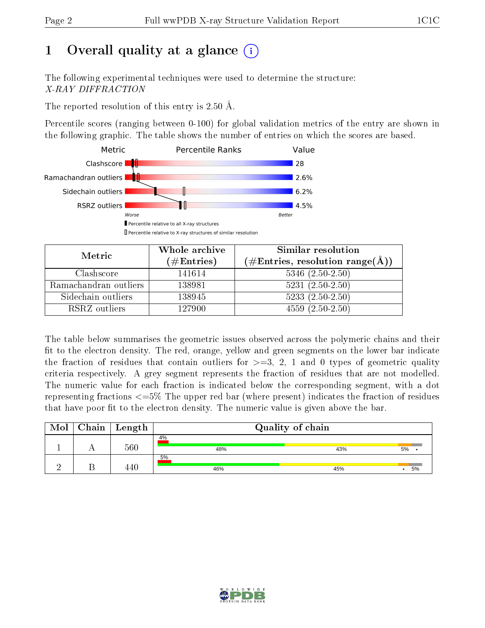# 1 [O](https://www.wwpdb.org/validation/2017/XrayValidationReportHelp#overall_quality)verall quality at a glance  $(i)$

The following experimental techniques were used to determine the structure: X-RAY DIFFRACTION

The reported resolution of this entry is 2.50 Å.

Percentile scores (ranging between 0-100) for global validation metrics of the entry are shown in the following graphic. The table shows the number of entries on which the scores are based.



| Metric                | Whole archive<br>$(\#\text{Entries})$ | Similar resolution<br>$(\#Entries, resolution\ range(\AA))$ |
|-----------------------|---------------------------------------|-------------------------------------------------------------|
| Clashscore            | 141614                                | $5346$ $(2.50-2.50)$                                        |
| Ramachandran outliers | 138981                                | $5231 (2.50 - 2.50)$                                        |
| Sidechain outliers    | 138945                                | $5233(2.50-2.50)$                                           |
| RSRZ outliers         | 127900                                | $4559(2.50-2.50)$                                           |

The table below summarises the geometric issues observed across the polymeric chains and their fit to the electron density. The red, orange, yellow and green segments on the lower bar indicate the fraction of residues that contain outliers for  $\geq=3$ , 2, 1 and 0 types of geometric quality criteria respectively. A grey segment represents the fraction of residues that are not modelled. The numeric value for each fraction is indicated below the corresponding segment, with a dot representing fractions  $\epsilon = 5\%$  The upper red bar (where present) indicates the fraction of residues that have poor fit to the electron density. The numeric value is given above the bar.

| Mol | Chain | Length | Quality of chain |     |    |  |  |
|-----|-------|--------|------------------|-----|----|--|--|
|     |       |        | 4%               |     |    |  |  |
|     |       | 560    | 48%              | 43% | 5% |  |  |
|     |       |        | 5%               |     |    |  |  |
|     |       |        | 46%              | 45% | 5% |  |  |

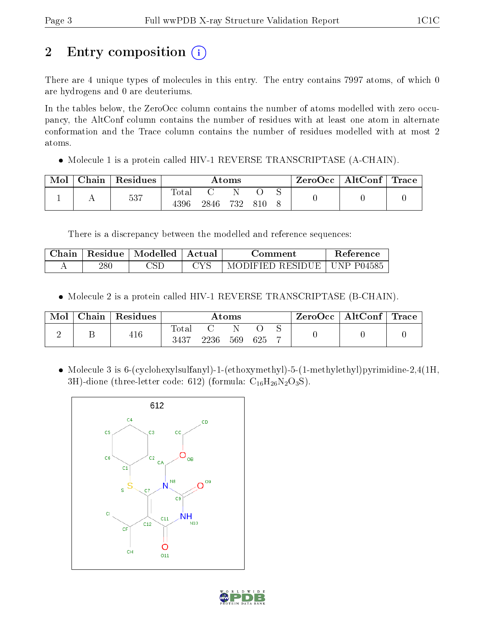# 2 Entry composition (i)

There are 4 unique types of molecules in this entry. The entry contains 7997 atoms, of which 0 are hydrogens and 0 are deuteriums.

In the tables below, the ZeroOcc column contains the number of atoms modelled with zero occupancy, the AltConf column contains the number of residues with at least one atom in alternate conformation and the Trace column contains the number of residues modelled with at most 2 atoms.

• Molecule 1 is a protein called HIV-1 REVERSE TRANSCRIPTASE (A-CHAIN).

| Mol | Chain | Residues | Atoms       |      |     |     | ZeroOcc | $\mid$ AltConf $\mid$ Trace |  |  |
|-----|-------|----------|-------------|------|-----|-----|---------|-----------------------------|--|--|
|     |       | 537      | $\rm Total$ |      |     |     |         |                             |  |  |
|     |       |          | 4396        | 2846 | 732 | 810 |         |                             |  |  |

There is a discrepancy between the modelled and reference sequences:

| Chain | Residue | $\perp$ Modelled $\perp$ | ± Actual ⊦ | Comment                         | <b>Reference</b> |
|-------|---------|--------------------------|------------|---------------------------------|------------------|
|       | 28 C    |                          |            | MODIFIED RESIDUE   UNP $P04585$ |                  |

• Molecule 2 is a protein called HIV-1 REVERSE TRANSCRIPTASE (B-CHAIN).

| Mol | Chain | Residues | Atoms               |      |     |     |  | $\text{ZeroOcc} \mid \text{AltConf} \mid \text{Trace}$ |  |
|-----|-------|----------|---------------------|------|-----|-----|--|--------------------------------------------------------|--|
|     |       | 416      | $\rm Total$<br>3437 | 2236 | 569 | 625 |  |                                                        |  |

 Molecule 3 is 6-(cyclohexylsulfanyl)-1-(ethoxymethyl)-5-(1-methylethyl)pyrimidine-2,4(1H, 3H)-dione (three-letter code: 612) (formula:  $C_{16}H_{26}N_2O_3S$ ).



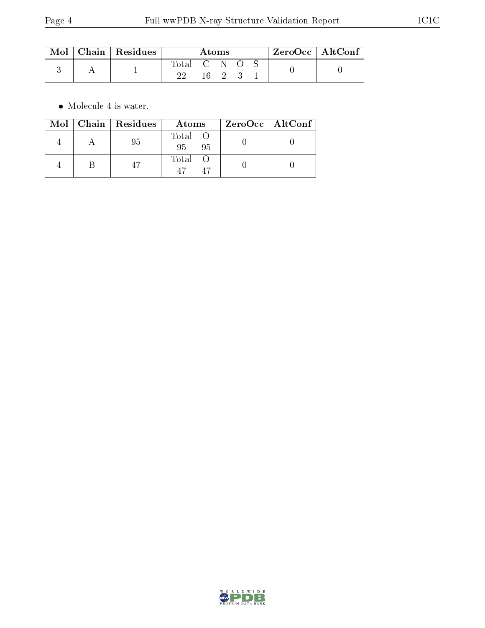| $\mod\,$ | $\mid$ Chain $\mid$ Residues | Atoms |  |  |  |  | $ZeroOcc$   AltConf |  |
|----------|------------------------------|-------|--|--|--|--|---------------------|--|
|          |                              | Total |  |  |  |  |                     |  |

 $\bullet\,$  Molecule 4 is water.

|  | Mol   Chain   Residues | Atoms                    | $ZeroOcc \   \ AltConf$ |
|--|------------------------|--------------------------|-------------------------|
|  | 95                     | Total O<br>$95 -$<br>-95 |                         |
|  |                        | Total                    |                         |

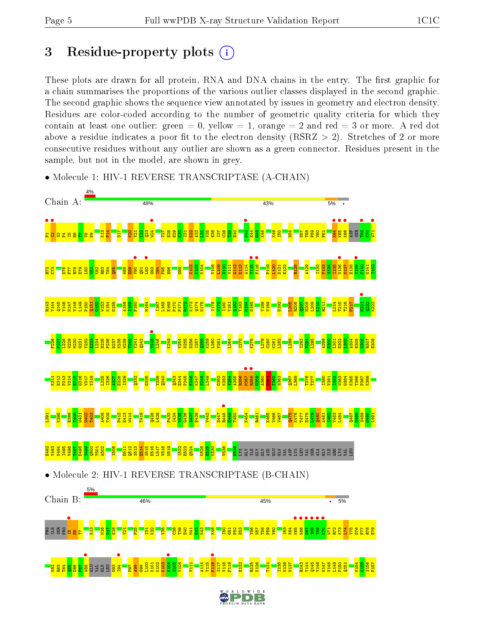# 3 Residue-property plots  $(i)$

These plots are drawn for all protein, RNA and DNA chains in the entry. The first graphic for a chain summarises the proportions of the various outlier classes displayed in the second graphic. The second graphic shows the sequence view annotated by issues in geometry and electron density. Residues are color-coded according to the number of geometric quality criteria for which they contain at least one outlier: green  $= 0$ , yellow  $= 1$ , orange  $= 2$  and red  $= 3$  or more. A red dot above a residue indicates a poor fit to the electron density (RSRZ  $> 2$ ). Stretches of 2 or more consecutive residues without any outlier are shown as a green connector. Residues present in the sample, but not in the model, are shown in grey.



• Molecule 1: HIV-1 REVERSE TRANSCRIPTASE (A-CHAIN)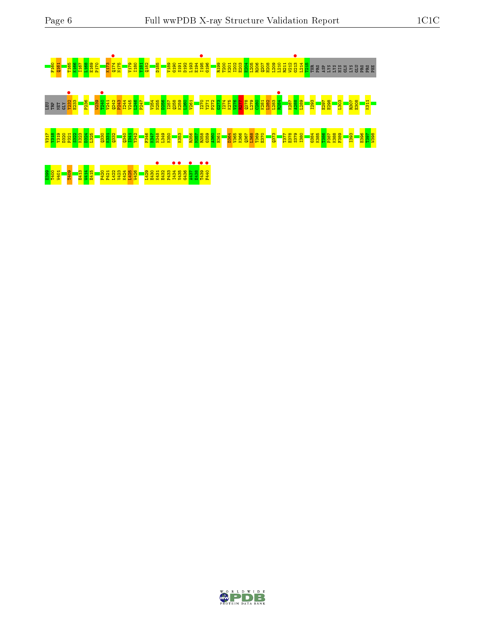# F160 Q161 T165 K166 I167 L168 E169 P170 K173 Q174 • N175 V179 I180 Y181 Q182 D185 V189 G190 S191 D192 L193 E194 I195 • G196 R199 T200 K201 I202 E203 E204 L205 R206 Q207 H208 L209 L210 R211 W212 G213 • L214 T215 THR PRO ASP LYS LYS HIS GLN LYS GLU PRO PRO PHE **1990 - 1990 - 1990 - 1990 - 1990 - 1990 - 1990 - 1990 - 1990 - 1990 - 1990 - 1990 - 1990 - 1990 - 1990 - 1990**<br>1990 - 1990 - 1990 - 1990 - 1990 - 1990 - 1990 - 1990 - 1990 - 1990 - 1990 - 1990 - 1990 - 1990 - 1990 - 1990<br> V317 Y318 Y319 D320 P321 S322 K323 D324 L325 Q330 K331 Q332 Q340 I341 Y342 F346 K347 N348 L349 K350 K353 R356 M357 R358 G359 A360 H361 D364 V365 K366 Q367 L368 T369 E370 Q373 T377 E378 S379 I380 G384 K385 T386 P387 K388 F389 I393 E396 T397 W398 E399 T400 W401 T409 E413 W414 E415 P420 P421 L422 V423 K424 L425 W426 L429 E430 K431 • E432 P433 I434 • V435 • G436 A437 • E438 T439 • F440 •

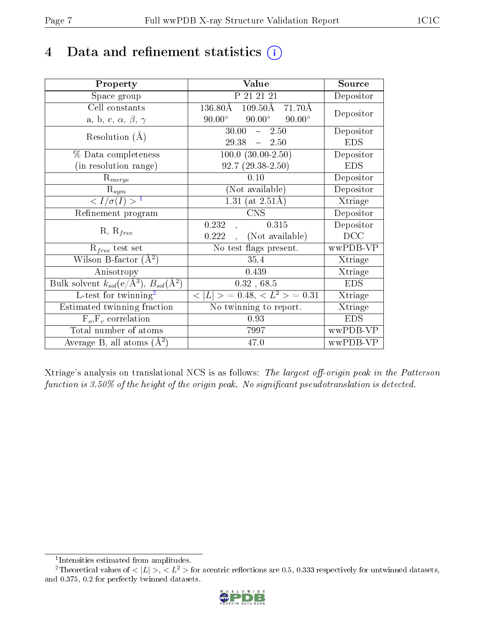# 4 Data and refinement statistics  $(i)$

| Property                                                                | Value                                                         | Source     |
|-------------------------------------------------------------------------|---------------------------------------------------------------|------------|
| Space group                                                             | P 21 21 21                                                    | Depositor  |
| Cell constants                                                          | $136.80\text{\AA}$<br>$109.50\text{\AA}$<br>$71.70\text{\AA}$ |            |
| a, b, c, $\alpha$ , $\beta$ , $\gamma$                                  | $90.00^\circ$<br>$90.00^\circ$<br>$90.00^\circ$               | Depositor  |
| Resolution $(A)$                                                        | $30.00 - 2.50$                                                | Depositor  |
|                                                                         | 29.38<br>$-2.50$                                              | <b>EDS</b> |
| % Data completeness                                                     | $100.0 (30.00-2.50)$                                          | Depositor  |
| (in resolution range)                                                   | $92.7(29.38-2.50)$                                            | <b>EDS</b> |
| $R_{merge}$                                                             | 0.10                                                          | Depositor  |
| $\mathrm{R}_{sym}$                                                      | (Not available)                                               | Depositor  |
| $\langle I/\sigma(I) \rangle^{-1}$                                      | 1.31 (at $2.51\text{\AA}$ )                                   | Xtriage    |
| Refinement program                                                      | <b>CNS</b>                                                    | Depositor  |
|                                                                         | 0.315<br>0.232                                                | Depositor  |
| $R, R_{free}$                                                           | (Not available)<br>0.222                                      | DCC        |
| $\mathcal{R}_{free}$ test set                                           | No test flags present.                                        | wwPDB-VP   |
| Wilson B-factor $(A^2)$                                                 | 35.4                                                          | Xtriage    |
| Anisotropy                                                              | 0.439                                                         | Xtriage    |
| Bulk solvent $k_{sol}(\mathrm{e}/\mathrm{A}^3),\,B_{sol}(\mathrm{A}^2)$ | 0.32, 68.5                                                    | <b>EDS</b> |
| L-test for twinning <sup>2</sup>                                        | $< L >$ = 0.48, $< L2 >$ = 0.31                               | Xtriage    |
| Estimated twinning fraction                                             | No twinning to report.                                        | Xtriage    |
| $F_o, F_c$ correlation                                                  | 0.93                                                          | <b>EDS</b> |
| Total number of atoms                                                   | 7997                                                          | wwPDB-VP   |
| Average B, all atoms $(A^2)$                                            | 47.0                                                          | wwPDB-VP   |

Xtriage's analysis on translational NCS is as follows: The largest off-origin peak in the Patterson function is  $3.50\%$  of the height of the origin peak. No significant pseudotranslation is detected.

<sup>&</sup>lt;sup>2</sup>Theoretical values of  $\langle |L| \rangle$ ,  $\langle L^2 \rangle$  for acentric reflections are 0.5, 0.333 respectively for untwinned datasets, and 0.375, 0.2 for perfectly twinned datasets.



<span id="page-6-1"></span><span id="page-6-0"></span><sup>1</sup> Intensities estimated from amplitudes.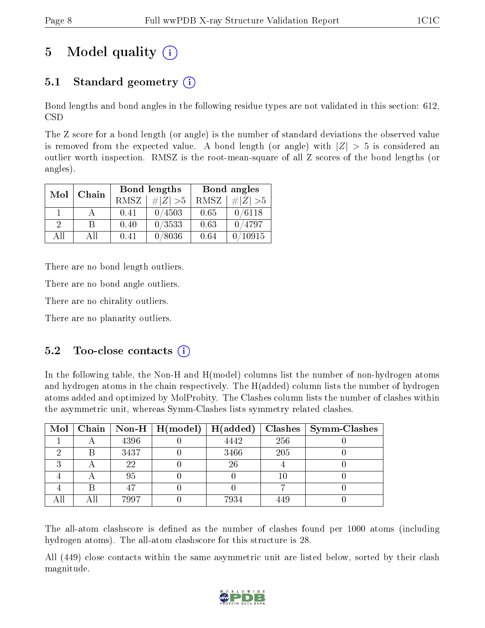# 5 Model quality  $(i)$

## 5.1 Standard geometry  $(i)$

Bond lengths and bond angles in the following residue types are not validated in this section: 612, CSD

The Z score for a bond length (or angle) is the number of standard deviations the observed value is removed from the expected value. A bond length (or angle) with  $|Z| > 5$  is considered an outlier worth inspection. RMSZ is the root-mean-square of all Z scores of the bond lengths (or angles).

| Mol      | Chain |      | Bond lengths | Bond angles |             |  |
|----------|-------|------|--------------|-------------|-------------|--|
|          |       | RMSZ | $\# Z  > 5$  | RMSZ        | $\# Z  > 5$ |  |
|          |       | 0.41 | 0/4503       | 0.65        | 0/6118      |  |
| $\Omega$ | R     | 0.40 | 0/3533       | 0.63        | 0/4797      |  |
| ΑĦ       | A 11  | 0.41 | 0/8036       | 0.64        | 10915       |  |

There are no bond length outliers.

There are no bond angle outliers.

There are no chirality outliers.

There are no planarity outliers.

## $5.2$  Too-close contacts  $(i)$

In the following table, the Non-H and H(model) columns list the number of non-hydrogen atoms and hydrogen atoms in the chain respectively. The H(added) column lists the number of hydrogen atoms added and optimized by MolProbity. The Clashes column lists the number of clashes within the asymmetric unit, whereas Symm-Clashes lists symmetry related clashes.

| Mol |     |      | $\mid$ Chain $\mid$ Non-H $\mid$ H(model) $\mid$ | $H(\mathrm{added})$ |     | Clashes   Symm-Clashes |
|-----|-----|------|--------------------------------------------------|---------------------|-----|------------------------|
|     |     | 4396 |                                                  | 4442                | 256 |                        |
|     |     | 3437 |                                                  | 3466                | 205 |                        |
| ച   |     | 22   |                                                  | 26                  |     |                        |
|     |     | 95   |                                                  |                     |     |                        |
|     |     | 47   |                                                  |                     |     |                        |
| All | Αll | 7997 |                                                  | 7934                | 449 |                        |

The all-atom clashscore is defined as the number of clashes found per 1000 atoms (including hydrogen atoms). The all-atom clashscore for this structure is 28.

All (449) close contacts within the same asymmetric unit are listed below, sorted by their clash magnitude.

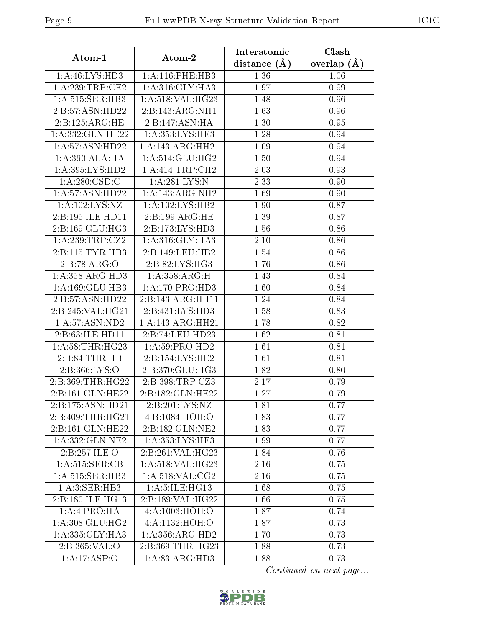| Atom-1                          | Atom-2                      | Interatomic    | Clash             |  |
|---------------------------------|-----------------------------|----------------|-------------------|--|
|                                 |                             | distance $(A)$ | overlap $(A)$     |  |
| 1: A: 46: L <sub>YS:H</sub> D3  | 1: A:116: PHE:HB3           | 1.36           | 1.06              |  |
| 1: A:239:TRP:CE2                | 1: A:316: GLY:HA3           | 1.97           | 0.99              |  |
| 1:A:515:SER:HB3                 | 1:A:518:VAL:HG23            | 1.48           | 0.96              |  |
| 2:B:57:ASN:HD22                 | 2:B:143:ARG:NH1             | 1.63           | 0.96              |  |
| 2:B:125:ARG:HE                  | 2:B:147:ASN:HA              | 1.30           | 0.95              |  |
| 1:A:332:GLN:HE22                | 1:A:353:LYS:HE3             | 1.28           | 0.94              |  |
| 1:A:57:ASN:HD22                 | 1: A:143:ARG:HH21           | 1.09           | 0.94              |  |
| 1:A:360:ALA:HA                  | 1:A:514:GLU:HG2             | 1.50           | 0.94              |  |
| 1: A:395: LYS: HD2              | 1:A:414:TRP:CH2             | 2.03           | 0.93              |  |
| 1: A:280: CSD:C                 | 1:A:281:LYS:N               | 2.33           | 0.90              |  |
| 1:A:57:ASN:HD22                 | 1:A:143:ARG:NH2             | 1.69           | 0.90              |  |
| 1:A:102:LYS:NZ                  | 1:A:102:LYS:HB2             | 1.90           | 0.87              |  |
| 2:B:195:ILE:HD11                | 2:B:199:ARG:HE              | 1.39           | 0.87              |  |
| $2: B:169: GLU: H\overline{G3}$ | 2:B:173:LYS:HD3             | 1.56           | 0.86              |  |
| 1:A:239:TRP:CZ2                 | 1: A:316: GLY:HA3           | 2.10           | 0.86              |  |
| 2:B:115:TYR:HB3                 | 2:B:149:LEU:HB2             | 1.54           | 0.86              |  |
| 2:B:78:ARG:O                    | 2:B:82:LYS:HG3              | 1.76           | 0.86              |  |
| 1:A:358:ARG:HD3                 | 1:A:358:ARG:H               | 1.43           | 0.84              |  |
| 1:A:169:GLU:HB3                 | 1:A:170:PRO:H <sub>D3</sub> | 1.60           | 0.84              |  |
| 2:B:57:ASN:HD22                 | 2:B:143:ARG:HH11            | 1.24           | 0.84              |  |
| 2:B:245:VAL:HG21                | 2:B:431:LYS:HD3             | 1.58           | 0.83              |  |
| 1: A:57: ASN:ND2                | 1: A:143:ARG:HH21           | 1.78           | 0.82              |  |
| 2:B:63:ILE:HD11                 | 2:B:74:LEU:HD23             | 1.62           | $\overline{0.81}$ |  |
| 1: A:58:THR:HG23                | 1:A:59:PRO:HD2              | 1.61           | 0.81              |  |
| 2:B:84:THR:HB                   | 2:B:154:LYS:HE2             | 1.61           | 0.81              |  |
| 2:B:366:LYS:O                   | 2:B:370:GLU:HG3             | 1.82           | 0.80              |  |
| 2:B:369:THR:HG22                | 2:B:398:TRP:CZ3             | 2.17           | 0.79              |  |
| 2:B:161:GLN:HE22                | 2:B:182:GLN:HE22            | 1.27           | 0.79              |  |
| 2:B:175:ASN:HD21                | 2: B:201:LYS:NZ             | 1.81           | 0.77              |  |
| 2:B:409:THR:HG21                | 4: B: 1084: HOH:O           | 1.83           | 0.77              |  |
| 2:B:161:GLN:HE22                | 2:B:182:GLN:NE2             | 1.83           | 0.77              |  |
| 1:A:332:GLN:NE2                 | 1:A:353:LYS:HE3             | 1.99           | 0.77              |  |
| 2:B:257:ILE:O                   | 2:B:261:VAL:HG23            | 1.84           | 0.76              |  |
| 1: A:515: SER: CB               | 1: A:518: VAL:HG23          | 2.16           | 0.75              |  |
| 1: A:515: SER:HB3               | 1: A:518: VAL: CG2          | 2.16           | 0.75              |  |
| 1: A:3: SER:HB3                 | 1: A:5: ILE: HG13           | 1.68           | 0.75              |  |
| 2:B:180:ILE:HG13                | 2:B:189:VAL:HG22            | 1.66           | 0.75              |  |
| 1:A:4:PRO:HA                    | 4:A:1003:HOH:O              | 1.87           | 0.74              |  |
| 1: A:308: GLU: HG2              | 4:A:1132:HOH:O              | 1.87           | 0.73              |  |
| 1:A:335:GLY:HA3                 | 1:A:356:ARG:HD2             | 1.70           | 0.73              |  |
| 2:B:365:VAL:O                   | 2:B:369:THR:HG23            | 1.88           | 0.73              |  |
| 1:A:17:ASP:O                    | 1:A:83:ARG:HD3              | 1.88           | 0.73              |  |

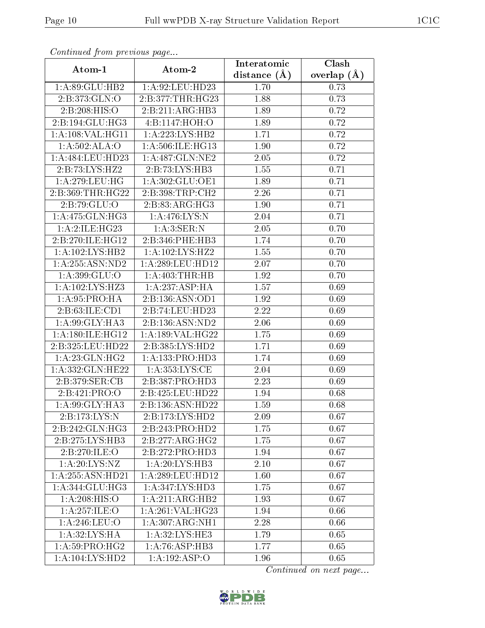| Comunaca jiom previous page |                            | Interatomic    | Clash         |  |
|-----------------------------|----------------------------|----------------|---------------|--|
| Atom-1                      | Atom-2                     | distance $(A)$ | overlap $(A)$ |  |
| 1:A:89:GLU:HB2              | 1:A:92:LEU:HD23            | 1.70           | 0.73          |  |
| 2:B:373:GLN:O               | 2:B:377:THR:HG23           | 1.88<br>0.73   |               |  |
| 2: B: 208: HIS: O           | 2:B:211:ARG:HB3            | 1.89           | 0.72          |  |
| 2:B:194:GLU:HG3             | 4:Bi:1147:HOH:O            | 1.89           | 0.72          |  |
| 1: A: 108: VAL: HG11        | 1:A:223:LYS:HB2            | 1.71           | 0.72          |  |
| 1:A:502:ALA:O               | 1:A:506:ILE:HG13           | 1.90           | 0.72          |  |
| 1:A:484:LEU:HD23            | 1: A:487: GLN: NE2         | 2.05           | 0.72          |  |
| 2:B:73:LYS:HZ2              | 2:B:73:LYS:HB3             | 1.55           | 0.71          |  |
| 1:A:279:LEU:HG              | 1: A:302: GLU:OE1          | 1.89           | 0.71          |  |
| 2:B:369:THR:HG22            | 2:B:398:TRP:CH2            | 2.26           | 0.71          |  |
| 2:B:79:GLU:O                | 2:B:83:ARG:HG3             | 1.90           | 0.71          |  |
| 1: A:475: GLN:HG3           | 1: A:476: LYS:N            | 2.04           | 0.71          |  |
| 1:A:2:ILE:HG23              | 1: A:3: SER: N             | 2.05           | 0.70          |  |
| 2:B:270:ILE:HG12            | 2:B:346:PHE:HB3            | 1.74           | 0.70          |  |
| 1: A: 102: LYS: HB2         | 1: A: 102: LYS: HZ2        | 1.55           | 0.70          |  |
| 1: A:255: ASN:ND2           | 1: A:289:LEU:HD12          | 2.07           | 0.70          |  |
| 1:A:399:GLU:O               | 1: A:403:THR:HB            | 1.92           | 0.70          |  |
| 1:A:102:LYS:HZ3             | 1:A:237:ASP:HA             | 1.57           | 0.69          |  |
| 1: A:95: PRO:HA             | 2:B:136:ASN:OD1            | 1.92           | 0.69          |  |
| 2: B:63: ILE:CD1            | 2:B:74:LEU:HD23            | 2.22           | 0.69          |  |
| 1: A:99: GLY: HA3           | 2:B:136:ASN:ND2            | 2.06           | 0.69          |  |
| 1:A:180:ILE:HG12            | 1:A:189:VAL:HG22           | 1.75           | 0.69          |  |
| 2:B:325:LEU:HD22            | 2:B:385:LYS:HD2            | 1.71           | 0.69          |  |
| 1: A:23: GLN: HG2           | 1: A: 133: PRO: HD3        | 1.74           | 0.69          |  |
| 1: A: 332: GLN: HE22        | 1: A: 353: LYS: CE         | 2.04           | 0.69          |  |
| 2:B:379:SER:CB              | 2:B:387:PRO:HD3            | 2.23           | 0.69          |  |
| 2:B:421:PRO:O               | 2:B:425:LEU:HD22           | 1.94           | 0.68          |  |
| 1:A.99:GLY:HAA              | 2:B:136:ASN:HD22           | 1.59           | 0.68          |  |
| $2:B:173:LYS:\overline{N}$  | 2:B:173:LYS:HD2            | 2.09           | 0.67          |  |
| 2:B:242:GLN:HG3             | 2:B:243:PRO:HD2            | 1.75           | 0.67          |  |
| 2:B:275:LYS:HB3             | 2:B:277:ARG:HG2            | 1.75           | 0.67          |  |
| 2:B:270:ILE:O               | 2:B:272:PRO:HD3            | 1.94           | 0.67          |  |
| 1: A:20: LYS: NZ            | 1:A:20:LYS:HB3             | 2.10           | 0.67          |  |
| 1:A:255:ASN:HD21            | 1: A:289:LEU:HD12          | 1.60           | 0.67          |  |
| 1:A:344:GLU:HG3             | 1:A:347:LYS:HD3            | 1.75           | 0.67          |  |
| 1:A:208:HIS:O               | 1:A:211:ARG:HB2            | 1.93           | 0.67          |  |
| 1:A:257:ILE:O               | 1:A:261:VAL:HG23           | 1.94           | 0.66          |  |
| 1:A:246:LEU:O               | 1: A:307: ARG: NH1         | 2.28           | 0.66          |  |
| $1:$ A:32:LYS:HA            | 1: A:32: LYS: HE3          | 1.79           | 0.65          |  |
| 1: A:59: PRO:HG2            | 1: A:76: ASP:HB3           | 1.77           | 0.65          |  |
| 1:A:104:LYS:HD2             | $1:A:192.\overline{ASP:O}$ | 1.96           | 0.65          |  |

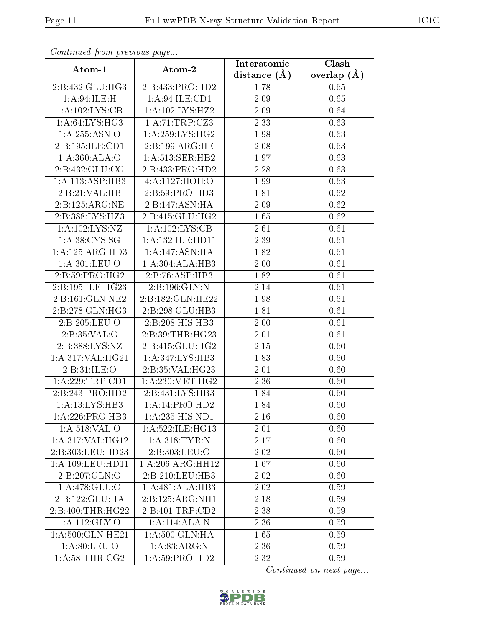| Continuea from previous page           |                             | Interatomic    | Clash         |
|----------------------------------------|-----------------------------|----------------|---------------|
| Atom-1                                 | Atom-2                      | distance $(A)$ | overlap $(A)$ |
| 2:B:432:GLU:HG3                        | 2:B:433:PRO:HD2             | 1.78           | 0.65          |
| 1:A:94:ILE:H                           | 1:A:94:ILE:CD1              | 2.09           | 0.65          |
| 1:A:102:LYS:CB                         | 1:A:102:LYS:HZ2             | 2.09           | 0.64          |
| 1:A:64:LYS:HG3                         | 1:A:71:TRP:CZ3              | 2.33           | 0.63          |
| 1: A:255: ASN:O                        | 1: A:259: LYS: HG2          | 1.98           | 0.63          |
| 2:B:195:ILE:CD1                        | 2:B:199:ARG:HE              | 2.08           | 0.63          |
| 1: A:360:ALA:O                         | 1: A:513: SER: HB2          | 1.97           | 0.63          |
| 2:B:432:GLU:CG                         | 2:B:433:PRO:HD2             | 2.28           | 0.63          |
| 1:A:113:ASP:HB3                        | $4:A:1127:\overline{HOH:O}$ | 1.99           | 0.63          |
| 2:B:21:VAL:HB                          | 2: B:59: PRO:HD3            | 1.81           | 0.62          |
| 2:B:125:ARG:NE                         | 2:B:147:ASN:HA              | 2.09           | 0.62          |
| $2: B: 388: \overline{\text{LYS:HZ3}}$ | 2:B:415:GLU:HG2             | 1.65           | 0.62          |
| 1:A:102:LYS:NZ                         | 1:A:102:LYS:CB              | 2.61           | 0.61          |
| 1: A:38: CYS:SG                        | 1:A:132:ILE:HD11            | 2.39           | 0.61          |
| 1:A:125:ARG:HD3                        | 1:A:147:ASN:HA              | 1.82           | 0.61          |
| 1: A:301:LEU:O                         | 1:A:304:ALA:HB3             | 2.00           | 0.61          |
| 2: B:59: PRO:HG2                       | 2:B:76:ASP:HB3              | 1.82           | 0.61          |
| 2:B:195:ILE:HG23                       | 2:B:196:GLY:N               | 2.14           | 0.61          |
| 2:B:161:GLN:NE2                        | 2:B:182:GLN:HE22            | 1.98           | 0.61          |
| 2:B:278:GLN:HG3                        | 2:B:298:GLU:HB3             | 1.81           | 0.61          |
| 2:B:205:LEU:O                          | 2:B:208:HIS:HB3             | 2.00           | 0.61          |
| 2:B:35:VAL:O                           | 2:B:39:THR:HG23             | 2.01           | 0.61          |
| 2:B:388:LYS:NZ                         | 2:B:415:GLU:HG2             | 2.15           | 0.60          |
| 1:A:317:VAL:HG21                       | 1: A:347: LYS:HB3           | 1.83           | 0.60          |
| 2:B:31:ILE:O                           | 2:B:35:VAL:HG23             | 2.01           | 0.60          |
| 1: A:229:TRP:CD1                       | 1: A:230:MET:HG2            | 2.36           | 0.60          |
| 2:B:243:PRO:HD2                        | 2:B:431:LYS:HB3             | 1.84           | 0.60          |
| 1:A:13:LYS:HB3                         | 1:A:14:PRO:HD2              | 1.84           | 0.60          |
| 1: A:226: PRO:HB3                      | 1:A:235:HIS:ND1             | 2.16           | 0.60          |
| 1: A:518: VAL:O                        | 1:A:522:ILE:HG13            | 2.01           | 0.60          |
| 1: A:317: VAL:HG12                     | 1: A:318: TYR: N            | 2.17           | 0.60          |
| 2:B:303:LEU:HD23                       | 2:B:303:LEU:O               | 2.02           | 0.60          |
| 1: A:109: LEU: HD11                    | 1: A:206:ARG:HH12           | 1.67           | 0.60          |
| 2:B:207:GLN:O                          | 2:B:210:LEU:HB3             | 2.02           | 0.60          |
| 1: A:478: GLU:O                        | 1:A:481:ALA:HB3             | 2.02           | 0.59          |
| 2:B:122:GLU:HA                         | 2:B:125:ARG:NH1             | 2.18           | 0.59          |
| 2:B:400:THR:HG22                       | 2:B:401:TRP:CD2             | 2.38           | 0.59          |
| 1:A:112:GLY:O                          | 1:A:114:ALA:N               | 2.36           | 0.59          |
| 1: A:500: GLN: HE21                    | 1:A:500:GLN:HA              | 1.65           | 0.59          |
| 1: A:80: LEU:O                         | 1: A:83: ARG: N             | 2.36           | 0.59          |
| 1: A:58:THR:CG2                        | 1:A:59:PRO:HD2              | 2.32           | 0.59          |

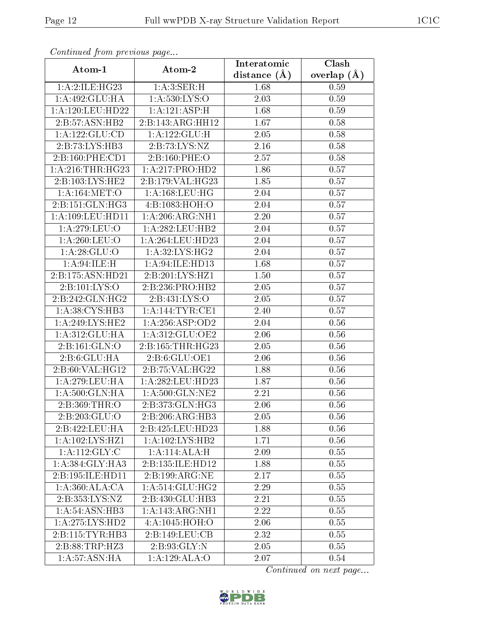| Continuea from previous page |                              | Interatomic    | Clash         |
|------------------------------|------------------------------|----------------|---------------|
| Atom-1                       | Atom-2                       | distance $(A)$ | overlap $(A)$ |
| 1:A:2:ILE:HG23               | 1: A:3: SER:H                | 1.68           | 0.59          |
| 1:A:492:GLU:HA               | 1: A: 530: LYS: O            | 2.03           | 0.59          |
| 1: A:120: LEU: HD22          | 1:A:121:ASP:H                | 1.68           | 0.59          |
| 2:B:57:ASN:HB2               | 2:B:143:ARG:HH12             | 1.67           | 0.58          |
| 1:A:122:GLU:CD               | 1:A:122:GLU:H                | 2.05           | 0.58          |
| 2:B:73:LYS:HB3               | 2:B:73:LYS:NZ                | 2.16           | 0.58          |
| 2: B:160:PHE:CD1             | 2:B:160:PHE:O                | 2.57           | 0.58          |
| 1: A:216:THR:HG23            | 1:A:217:PRO:HD2              | 1.86           | 0.57          |
| 2:B:103:LYS:HE2              | 2:B:179:VAL:HG23             | 1.85           | 0.57          |
| 1: A:164:MET:O               | 1: A: 168: LEU: HG           | 2.04           | 0.57          |
| 2:B:151:GLN:HG3              | 4: B: 1083: HOH:O            | 2.04           | 0.57          |
| 1:A:109:LEU:HD11             | 1:A:206:ARG:NH1              | 2.20           | 0.57          |
| 1:A:279:LEU:O                | 1:A:282:LEU:HB2              | 2.04           | 0.57          |
| 1: A:260:LEU:O               | 1:A:264:LEU:HD23             | 2.04           | 0.57          |
| 1: A:28: GLU:O               | $1: A:32:LYS:\overline{HG2}$ | 2.04           | 0.57          |
| 1: A:94: ILE:H               | 1: A:94: ILE: HD13           | 1.68           | 0.57          |
| 2:B:175:ASN:HD21             | 2:B:201:LYS:HZ1              | 1.50           | 0.57          |
| 2:B:101:LYS:O                | 2:B:236:PRO:HB2              | 2.05           | 0.57          |
| 2:B:242:GLN:HG2              | 2:B:431:LYS:O                | 2.05           | 0.57          |
| 1:A:38:CYS:HB3               | 1: A:144:TYR:CE1             | 2.40           | 0.57          |
| 1: A:249: LYS: HE2           | 1:A:256:ASP:OD2              | 2.04           | 0.56          |
| 1:A:312:GLU:HA               | 1:A:312:GLU:OE2              | 2.06           | 0.56          |
| 2:B:161:GLN:O                | 2:B:165:THR:HG23             | 2.05           | 0.56          |
| 2: B:6: GLU: HA              | 2:B:6:GLU:OE1                | 2.06           | 0.56          |
| 2:B:60:VAL:HG12              | 2:B:75:VAL:HG22              | 1.88           | 0.56          |
| 1: A:279:LEU:HA              | 1:A:282:LEU:HD23             | 1.87           | 0.56          |
| 1: A:500: GLN: HA            | 1:A:500:GLN:NE2              | 2.21           | 0.56          |
| 2:B:369:THR:O                | 2:B:373:GLN:HG3              | 2.06           | 0.56          |
| 2:B:203:GLU:O                | 2:B:206:ARG:HB3              | 2.05           | 0.56          |
| 2:B:422:LEU:HA               | 2:B:425:LEU:HD23             | 1.88           | 0.56          |
| 1:A:102:LYS:HZ1              | 1: A: 102: LYS: HB2          | 1.71           | 0.56          |
| $1: A:112: \overline{GLY:C}$ | 1:A:114:ALA:H                | 2.09           | 0.55          |
| 1: A: 384: GLY: HA3          | 2:B:135:ILE:HD12             | 1.88           | 0.55          |
| 2:B:195:ILE:HD11             | 2:B:199:ARG:NE               | 2.17           | 0.55          |
| 1:A:360:ALA:CA               | 1: A:514: GLU: HG2           | 2.29           | 0.55          |
| 2:B:353:LYS:NZ               | 2:B:430:GLU:HB3              | 2.21           | 0.55          |
| 1: A:54: ASN:HB3             | 1:A:143:ARG:NH1              | 2.22           | 0.55          |
| 1:A:275:LYS:HD2              | 4:A:1045:HOH:O               | 2.06           | 0.55          |
| 2: B: 115: TYR: HB3          | 2:B:149:LEU:CB               | 2.32           | 0.55          |
| 2:B:88:TRP:HZ3               | 2:B:93:GLY:N                 | 2.05           | 0.55          |
| 1:A:57:ASN:HA                | 1:A:129:ALA:O                | 2.07           | 0.54          |

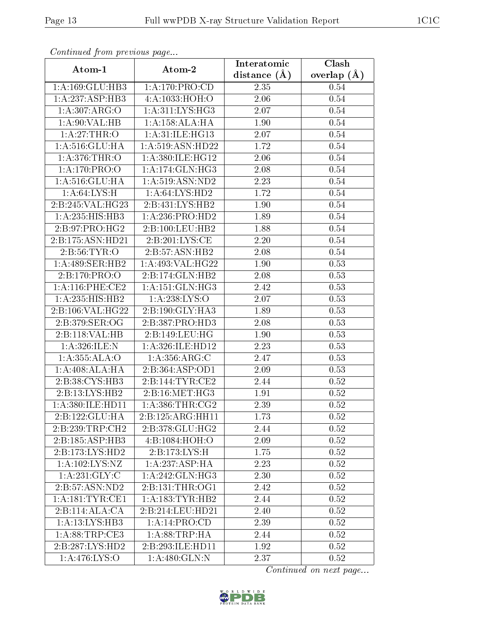| Continuea from previous page     |                                          | Interatomic       | Clash         |
|----------------------------------|------------------------------------------|-------------------|---------------|
| Atom-1                           | Atom-2                                   | distance $(A)$    | overlap $(A)$ |
| 1:A:169:GLU:HB3                  | 1: A:170: PRO:CD                         | 2.35              | 0.54          |
| 1:A:237:ASP:HB3                  | 4:A:1033:HOH:O                           | 2.06              | 0.54          |
| 1:A:307:ARG:O                    | 1: A:311:LYS:HG3                         | 2.07              | 0.54          |
| 1: A:90: VAL:HB                  | 1:A:158:ALA:HA                           | 1.90              | 0.54          |
| 1:A:27:THR:O                     | 1:A:31:ILE:HG13                          | 2.07              | 0.54          |
| 1:A:516:GLU:HA                   | 1:A:519:ASN:HD22                         | 1.72              | 0.54          |
| 1: A:376:THR:O                   | 1: A:380: ILE: HG12                      | 2.06              | $0.54\,$      |
| 1:A:170:PRO:O                    | 1:A:174:GLN:HG3                          | 2.08              | 0.54          |
| 1:A:516:GLU:HA                   | 1: A:519: ASN: ND2                       | 2.23              | 0.54          |
| $1:A:64:\overline{\text{LYS:H}}$ | 1: A:64:LYS:HD2                          | 1.72              | 0.54          |
| 2:B:245:VAL:HG23                 | 2:B:431:LYS:HB2                          | 1.90              | 0.54          |
| $1:A:235:\overline{HIS:HB3}$     | 1: A:236: PRO:HD2                        | 1.89              | 0.54          |
| 2:B:97:PRO:HG2                   | 2:B:100:LEU:HB2                          | 1.88              | 0.54          |
| 2:B:175:ASN:HD21                 | 2:B:201:LYS:CE                           | 2.20              | 0.54          |
| 2:B:56:TYR:O                     | 2:B:57:ASN:HB2                           | 2.08              | 0.54          |
| 1:A:489:SER:HB2                  | $1:\overline{A}:493:\overline{VAL}:HG22$ | 1.90              | 0.53          |
| 2:B:170:PRO:O                    | 2:B:174:GLN:HB2                          | 2.08              | 0.53          |
| 1: A:116:PHE:CE2                 | 1: A:151: GLN: HG3                       | 2.42              | 0.53          |
| 1:A:235:HIS:HB2                  | 1: A:238: LYS:O                          | $\overline{2.07}$ | 0.53          |
| 2:B:106:VAL:HG22                 | 2:B:190:GLY:HA3                          | 1.89              | 0.53          |
| 2:B:379:SER:OG                   | 2:B:387:PRO:HD3                          | 2.08              | 0.53          |
| 2:B:118:VAL:HB                   | 2:B:149:LEU:HG                           | 1.90              | 0.53          |
| 1:A:326:ILE:N                    | 1:A:326:ILE:HD12                         | 2.23              | 0.53          |
| 1: A:355: ALA:O                  | 1: A: 356: ARG: C                        | 2.47              | 0.53          |
| 1: A:408:ALA:HA                  | 2:B:364:ASP:OD1                          | 2.09              | 0.53          |
| 2:B:38:CYS:HB3                   | 2:B:144:TYR:CE2                          | 2.44              | 0.52          |
| 2:B:13:LYS:HB2                   | 2: B: 16: MET: HG3                       | 1.91              | 0.52          |
| 1:A:380:ILE:HD11                 | 1: A:386:THR:CG2                         | 2.39              | 0.52          |
| 2:B:122:GLU:HA                   | 2:B:125:ARG:HH11                         | 1.73              | 0.52          |
| 2:B:239:TRP:CH2                  | 2:B:378:GLU:HG2                          | 2.44              | 0.52          |
| 2:B:185:ASP:HB3                  | 4: B: 1084: HOH:O                        | 2.09              | 0.52          |
| 2:B:173:LYS:HD2                  | 2:B:173:LYS:H                            | 1.75              | 0.52          |
| 1:A:102:LYS:NZ                   | 1:A:237:ASP:HA                           | 2.23              | 0.52          |
| 1: A:231: GLY: C                 | 1:A:242:GLN:HG3                          | 2.30              | 0.52          |
| 2:B:57:ASN:ND2                   | 2: B: 131: THR: OG1                      | 2.42              | 0.52          |
| 1:A:181:TYR:CE1                  | 1:A:183:TYR:HB2                          | 2.44              | 0.52          |
| 2:B:114:ALA:CA                   | 2:B:214:LEU:HD21                         | 2.40              | 0.52          |
| 1:A:13:LYS:HB3                   | 1:A:14:PRO:CD                            | 2.39              | 0.52          |
| 1: A:88:TRP:CE3                  | 1: A:88:TRP:HA                           | 2.44              | 0.52          |
| 2:B:287:LYS:HD2                  | 2:B:293:ILE:HD11                         | 1.92              | 0.52          |
| 1: A:476: LYS:O                  | 1:A:480:GLN:N                            | 2.37              | 0.52          |

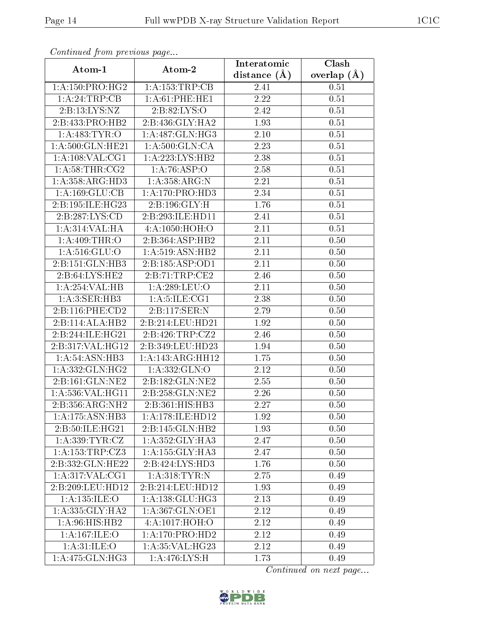| Comunaca jiom previous page |                     | Interatomic    | Clash           |
|-----------------------------|---------------------|----------------|-----------------|
| Atom-1                      | Atom-2              | distance $(A)$ | overlap $(\AA)$ |
| 1: A: 150: PRO:HG2          | 1:A:153:TRP:CB      | 2.41           | 0.51            |
| 1:A:24:TRP:CB               | 1: A:61:PHE:HE1     | 2.22           | 0.51            |
| 2: B: 13: LYS: NZ           | 2: B:82: LYS:O      | 2.42           | 0.51            |
| 2:B:433:PRO:HB2             | 2:B:436:GLY:HA2     | 1.93           | 0.51            |
| 1: A: 483: TYR: O           | 1:A:487:GLN:HG3     | 2.10           | 0.51            |
| 1:A:500:GLN:HE21            | 1: A:500: GLN:CA    | 2.23           | 0.51            |
| 1:A:108:VAL:CG1             | 1: A: 223: LYS: HB2 | 2.38           | 0.51            |
| 1: A:58:THR:CG2             | 1:A:76:ASP:O        | 2.58           | 0.51            |
| 1:A:358:ARG:HD3             | 1: A: 358: ARG: N   | 2.21           | 0.51            |
| 1:A:169:GLU:CB              | 1: A:170: PRO:HD3   | 2.34           | 0.51            |
| 2:B:195:ILE:HG23            | 2:B:196:GLY:H       | 1.76           | 0.51            |
| 2:B:287:LYS:CD              | 2:B:293:ILE:HDI1    | 2.41           | 0.51            |
| 1: A:314: VAL: HA           | 4:A:1050:HOH:O      | 2.11           | 0.51            |
| 1: A:409:THR:O              | 2:B:364:ASP:HB2     | 2.11           | 0.50            |
| 1:A:516:GLU:O               | 1: A:519: ASN: HB2  | 2.11           | 0.50            |
| 2:B:151:GLN:HB3             | 2:B:185:ASP:OD1     | 2.11           | 0.50            |
| 2:B:64:LYS:HE2              | 2:B:71:TRP:CE2      | 2.46           | 0.50            |
| 1:A:254:VAL:HB              | 1: A:289:LEU:O      | 2.11           | 0.50            |
| 1:A:3:SER:HB3               | 1: A: 5: ILE: CG1   | 2.38           | 0.50            |
| 2:B:116:PHE:CD2             | 2:B:117:SER:N       | 2.79           | 0.50            |
| 2:B:114:ALA:HB2             | 2:B:214:LEU:HD21    | 1.92           | 0.50            |
| 2:B:244:ILE:HG21            | 2: B:426: TRP: CZ2  | 2.46           | 0.50            |
| 2:B:317:VAL:HG12            | 2:B:349:LEU:HD23    | 1.94           | 0.50            |
| 1: A:54: ASN:HB3            | 1: A:143:ARG:HH12   | 1.75           | 0.50            |
| 1:A:332:GLN:HG2             | 1:A:332:GLN:O       | 2.12           | 0.50            |
| 2:B:161:GLN:NE2             | 2:B:182:GLN:NE2     | 2.55           | 0.50            |
| 1:A:536:VAL:HG11            | 2:B:258:GLN:NE2     | 2.26           | 0.50            |
| 2:B:356:ARG:NH2             | 2:B:361:HIS:HB3     | 2.27           | 0.50            |
| 1:A:175:ASN:HB3             | 1: A:178: ILE: HD12 | 1.92           | 0.50            |
| 2:B:50:ILE:HG21             | 2:B:145:GLN:HB2     | 1.93           | 0.50            |
| 1: A: 339: TYR: CZ          | 1:A:352:GLY:HA3     | 2.47           | 0.50            |
| 1:A:153:TRP:CZ3             | 1: A: 155: GLY: HA3 | 2.47           | 0.50            |
| 2:B:332:GLN:HE22            | 2:B:424:LYS:HD3     | 1.76           | 0.50            |
| 1: A:317: VAL: CG1          | 1:A:318:TYR:N       | 2.75           | 0.49            |
| 2:B:209:LEU:HD12            | 2:B:214:LEU:HD12    | 1.93           | 0.49            |
| 1:A:135:ILE:O               | 1: A: 138: GLU: HG3 | 2.13           | 0.49            |
| 1: A: 335: GLY: HA2         | 1: A:367: GLN:OE1   | 2.12           | 0.49            |
| 1: A:96: HIS: HB2           | 4: A: 1017: HOH:O   | 2.12           | 0.49            |
| 1: A:167: ILE:O             | 1:A:170:PRO:HD2     | 2.12           | 0.49            |
| 1: A:31: ILE: O             | 1: A:35: VAL:HG23   | 2.12           | 0.49            |
| 1: A:475: GLN: HG3          | 1: A:476: LYS:H     | 1.73           | 0.49            |

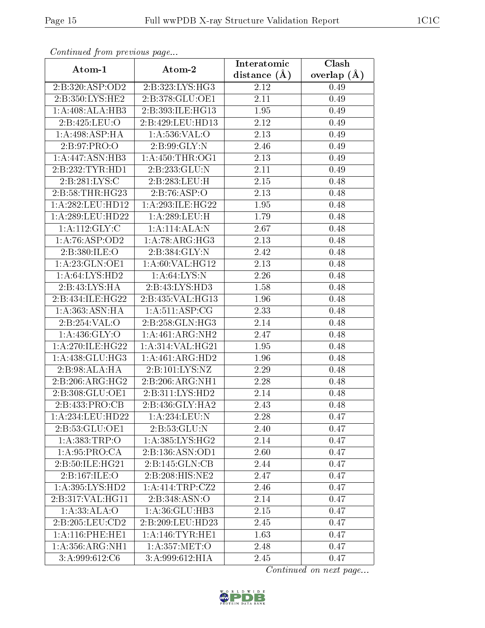| Continuea from previous page |                              | Interatomic       | Clash         |
|------------------------------|------------------------------|-------------------|---------------|
| Atom-1                       | Atom-2                       | distance $(\AA)$  | overlap $(A)$ |
| 2:B:320:ASP:OD2              | $2:B:323:LYS:H\overline{G3}$ | 2.12              | 0.49          |
| 2:B:350:LYS:HE2              | 2:B:378:GLU:OE1              | $\overline{2.11}$ | 0.49          |
| 1:A:408:ALA:HB3              | 2:B:393:ILE:HG13             | 1.95              | 0.49          |
| 2:B:425:LEU:O                | 2:B:429:LEU:HD13             | 2.12              | 0.49          |
| 1: A:498: ASP: HA            | 1: A:536: VAL:O              | 2.13              | 0.49          |
| 2:B:97:PRO:O                 | 2:B:99:GLY:N                 | 2.46              | 0.49          |
| 1:A:447:ASN:HB3              | 1: A:450:THR:OG1             | 2.13              | 0.49          |
| 2:B:232:TYR:HD1              | 2:B:233:GLU:N                | 2.11              | 0.49          |
| 2: B: 281: LYS:C             | 2:B:283:LEU:H                | 2.15              | 0.48          |
| 2: B:58:THR:HG23             | 2:B:76:ASP:O                 | 2.13              | 0.48          |
| 1: A:282:LEU:HD12            | 1:A:293:ILE:HG22             | 1.95              | 0.48          |
| 1: A:289:LEU:HD22            | 1: A:289:LEU:H               | 1.79              | 0.48          |
| 1: A: 112: GLY: C            | 1:A:114:ALA:N                | 2.67              | 0.48          |
| 1:A:76:ASP:OD2               | 1: A:78: ARG: HG3            | 2.13              | 0.48          |
| 2:B:380:ILE:O                | 2:B:384:GLY:N                | 2.42              | 0.48          |
| 1: A:23: GLN:OE1             | 1: A:60: VAL:HG12            | 2.13              | 0.48          |
| 1: A:64:LYS:HD2              | 1: A:64:LYS:N                | 2.26              | 0.48          |
| 2:B:43:LYS:HA                | 2:B:43:LYS:HD3               | 1.58              | 0.48          |
| 2:B:434:ILE:HG22             | 2:B:435:VAL:HG13             | 1.96              | 0.48          |
| 1: A: 363: ASN: HA           | 1: A:511: ASP:CG             | 2.33              | 0.48          |
| 2:B:254:VAL:O                | 2:B:258:GLN:HG3              | 2.14              | 0.48          |
| 1:A:436:GLY:O                | 1:A:461:ARG:NH2              | 2.47              | 0.48          |
| 1: A:270: ILE: HG22          | 1:A:314:VAL:HG21             | 1.95              | 0.48          |
| 1: A: 438: GLU: HG3          | 1:A:461:ARG:HD2              | 1.96              | 0.48          |
| 2:B:98:ALA:HA                | 2:B:101:LYS:NZ               | 2.29              | 0.48          |
| 2:B:206:ARG:HG2              | 2:B:206:ARG:NH1              | 2.28              | 0.48          |
| 2:B:308:GLU:OE1              | 2:B:311:LYS:HD2              | 2.14              | 0.48          |
| 2:B:433:PRO:CB               | 2:B:436:GLY:HA2              | 2.43              | 0.48          |
| 1:A:234:LEU:HD22             | 1:A:234:LEU:N                | 2.28              | 0.47          |
| 2:B:53:GLU:OE1               | 2:B:53:GLU:N                 | 2.40              | 0.47          |
| 1:A:383:TRP:O                | 1: A:385:LYS:HG2             | 2.14              | 0.47          |
| 1:A:95:PRO:CA                | 2:B:136:ASN:OD1              | 2.60              | 0.47          |
| 2:B:50:ILE:HG21              | 2:B:145:GLN:CB               | 2.44              | 0.47          |
| 2:B:167:ILE:O                | 2:B:208:HIS:NE2              | 2.47              | 0.47          |
| 1: A:395: LYS: HD2           | 1: A: 414: TRP: CZ2          | 2.46              | 0.47          |
| 2:B:317:VAL:HG11             | 2:B:348:ASN:O                | 2.14              | 0.47          |
| 1:A:33:ALA:O                 | 1: A:36: GLU:HB3             | 2.15              | 0.47          |
| 2:B:205:LEU:CD2              | 2:B:209:LEU:HD23             | 2.45              | 0.47          |
| 1: A:116: PHE:HE1            | 1: A:146:TYR:HE1             | 1.63              | 0.47          |
| 1: A: 356: ARG: NH1          | 1: A: 357: MET:O             | 2.48              | 0.47          |
| 3:A:999:612:C6               | 3:A:999:612:HIA              | 2.45              | 0.47          |

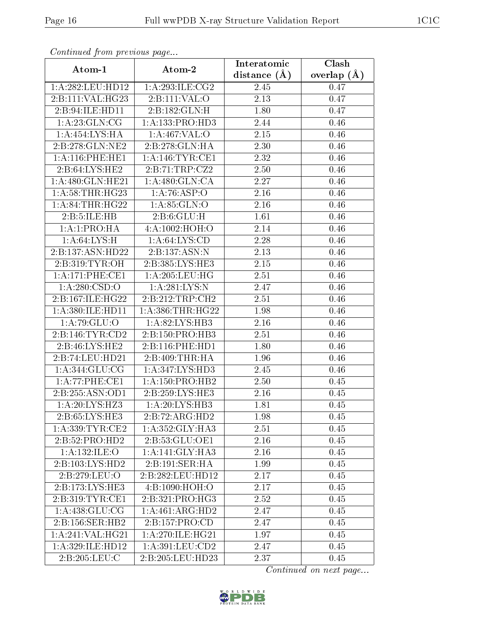| Commuca from previous page |                              | Interatomic       | Clash         |
|----------------------------|------------------------------|-------------------|---------------|
| Atom-1                     | Atom-2                       | distance $(A)$    | overlap $(A)$ |
| 1:A:282:LEU:HD12           | 1:A:293:ILE:CG2              | 2.45              | 0.47          |
| 2:B:111:VAL:HG23           | 2:B:111:VAL:O                | 2.13              | 0.47          |
| 2:B:94:ILE:HD11            | 2:B:182:GLN:H                | 1.80              | 0.47          |
| 1: A:23: GLN:CG            | 1:A:133:PRO:HD3              | 2.44              | 0.46          |
| 1:A:454:LYS:HA             | 1: A:467: VAL:O              | $2.15\,$          | 0.46          |
| 2:B:278:GLN:NE2            | 2:B:278:GLN:HA               | 2.30              | 0.46          |
| 1: A:116: PHE:HE1          | 1:A:146:TYR:CE1              | $\overline{2}.32$ | $0.46\,$      |
| 2:B:64:LYS:HE2             | 2: B: 71: TRP: CZ2           | 2.50              | 0.46          |
| 1:A:480:GLN:HE21           | 1: A:480: GLN:CA             | 2.27              | 0.46          |
| 1: A:58:THR:HG23           | 1:A:76:ASP:O                 | 2.16              | 0.46          |
| 1:A:84:THR:HG22            | 1: A:85: GLN:O               | 2.16              | 0.46          |
| 2:B:5:ILE:HB               | 2: B:6: GLU: H               | 1.61              | 0.46          |
| 1:A:1:PRO:HA               | 4:A:1002:HOH:O               | 2.14              | 0.46          |
| 1: A:64: LYS:H             | 1: A:64: LYS:CD              | 2.28              | 0.46          |
| 2:B:137:ASN:HD22           | 2:B:137:ASN:N                | 2.13              | 0.46          |
| 2:B:319:TYR:OH             | 2:B:385:LYS:HE3              | 2.15              | 0.46          |
| 1:A:171:PHE:CE1            | 1: A:205:LEU:HG              | 2.51              | 0.46          |
| 1: A:280: CSD:O            | 1:A:281:LYS:N                | 2.47              | 0.46          |
| 2:B:167:ILE:HG22           | 2:B:212:TRP:CH2              | 2.51              | 0.46          |
| 1:A:380:ILE:HD11           | 1: A: 386: THR: HG22         | 1.98              | 0.46          |
| 1:A:79:GLU:O               | 1:A:82:LYS:HB3               | 2.16              | 0.46          |
| 2:B:146:TYR:CD2            | 2:B:150:PRO:HB3              | 2.51              | 0.46          |
| 2:B:46:LYS:HE2             | 2:B:116:PHE:HD1              | 1.80              | 0.46          |
| 2:B:74:LEU:HD21            | 2:B:409:THR:HA               | 1.96              | 0.46          |
| 1:A:344:GLU:CG             | 1: A:347: LYS: HD3           | 2.45              | 0.46          |
| 1:A:77:PHE:CE1             | 1: A: 150: PRO: HB2          | $\overline{2}.50$ | 0.45          |
| 2:B:255:ASN:OD1            | 2:B:259:LYS:HE3              | 2.16              | 0.45          |
| 1:A:20:LYS:HZ3             | $1:A:20:LY\overline{S:HB3}$  | 1.81              | 0.45          |
| 2:B:65:LYS:HE3             | 2:B:72:ARG:HD2               | 1.98              | 0.45          |
| 1:A:339:TYR:CE2            | 1:A:352:GLY:HA3              | 2.51              | 0.45          |
| 2:B:52:PRO:HD2             | 2: B: 53: GLU: OE1           | 2.16              | 0.45          |
| 1:A:132:ILE:O              | 1:A:141:GLY:HA3              | 2.16              | 0.45          |
| 2:B:103:LYS:HD2            | 2:B:191:SER:HA               | 1.99              | 0.45          |
| 2:B:279:LEU:O              | 2:B:282:LEU:HD12             | 2.17              | 0.45          |
| 2:B:173:LYS:HE3            | 4: B: 1090: HOH:O            | 2.17              | 0.45          |
| 2:B:319:TYR:CE1            | $2:B:321:P\overline{RO:HG3}$ | 2.52              | 0.45          |
| 1: A:438: GLU: CG          | 1:A:461:ARG:HD2              | 2.47              | 0.45          |
| 2:B:156:SER:HB2            | 2:B:157:PRO:CD               | 2.47              | 0.45          |
| 1:A:241:VAL:HG21           | 1: A:270: ILE: HG21          | 1.97              | 0.45          |
| 1:A:329:ILE:HD12           | 1: A:391:LEU:CD2             | 2.47              | 0.45          |
| 2:B:205:LEU:C              | 2:B:205:LEU:HD23             | 2.37              | 0.45          |

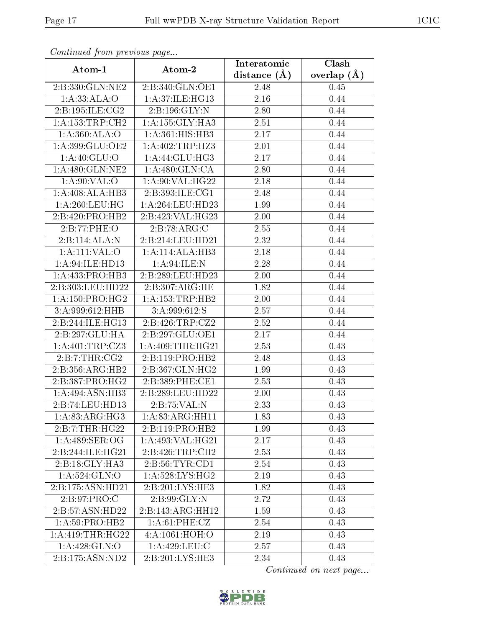|                              | Continuation providuo puga   |                | Clash           |  |
|------------------------------|------------------------------|----------------|-----------------|--|
| Atom-1                       | Atom-2                       | distance $(A)$ | overlap $(\AA)$ |  |
| 2:B:330:GLN:NE2              | 2:B:340:GLN:OE1              | 2.48           | 0.45            |  |
| 1: A: 33: ALA: O             | 1: A:37: ILE: HG13           | 2.16           | 0.44            |  |
| 2:B:195:ILE:CG2              | 2:B:196:GLY:N                | 2.80           | 0.44            |  |
| 1: A: 153: TRP: CH2          | 1: A: 155: GLY: HA3          | 2.51           | 0.44            |  |
| 1:A:360:ALA:O                | $1:A:36\overline{1:HIS:HB3}$ | 2.17           | 0.44            |  |
| 1:A:399:GLU:OE2              | 1:A:402:TRP:HZ3              | 2.01           | 0.44            |  |
| 1:A:40:GLU:O                 | 1:A:44:GLU:HG3               | 2.17           | 0.44            |  |
| 1: A:480: GLN: NE2           | 1: A:480: GLN:CA             | 2.80           | 0.44            |  |
| 1: A:90: VAL:O               | 1: A:90: VAL:HG22            | 2.18           | 0.44            |  |
| 1:A:408:ALA:HB3              | 2:B:393:ILE:CG1              | 2.48           | 0.44            |  |
| 1: A:260:LEU:HG              | 1:A:264:LEU:HD23             | 1.99           | 0.44            |  |
| 2:B:420:PRO:HB2              | 2:B:423:VAL:HG23             | 2.00           | 0.44            |  |
| 2:B:77:PHE:O                 | 2:B:78:ARG:C                 | 2.55           | 0.44            |  |
| 2:B:114:ALA:N                | 2:B:214:LEU:HD21             | 2.32           | 0.44            |  |
| 1:A:111:VAL:O                | 1:A:114:ALA:HB3              | 2.18           | 0.44            |  |
| 1: A:94: ILE: HD13           | 1: A:94: ILE:N               | 2.28           | 0.44            |  |
| 1: A: 433: PRO: HB3          | 2:B:289:LEU:HD23             | 2.00           | 0.44            |  |
| 2:B:303:LEU:HD22             | 2: B: 307: ARG: HE           | 1.82           | 0.44            |  |
| 1: A: 150: PRO:HG2           | 1: A: 153: TRP: HB2          | 2.00           | 0.44            |  |
| 3:A:999:612:HHB              | 3: A:999:612: S              | 2.57           | 0.44            |  |
| 2:B:244:ILE:HG13             | 2: B:426: TRP: CZ2           | 2.52           | 0.44            |  |
| 2:B:297:GLU:HA               | 2:B:297:GLU:OE1              | 2.17           | 0.44            |  |
| 1:A:401:TRP:CZ3              | 1: A:409:THR:HG21            | 2.53           | 0.43            |  |
| 2:B:7:THR:CG2                | 2:B:119:PRO:HB2              | 2.48           | 0.43            |  |
| 2:B:356:ARG:HB2              | 2:B:367:GLN:HG2              | 1.99           | 0.43            |  |
| 2:B:387:PRO:HG2              | 2:B:389:PHE:CE1              | 2.53           | 0.43            |  |
| $1:A:494:ASN:H\overline{B3}$ | 2:B:289:LEU:HD22             | 2.00           | 0.43            |  |
| 2:B:74:LEU:HD13              | 2:B:75:VAL:N                 | 2.33           | 0.43            |  |
| $1:A:83:A\overline{RG:HG3}$  | 1: A:83: ARG: HH11           | 1.83           | 0.43            |  |
| 2:B:7:THR:HG22               | 2:B:119:PRO:HB2              | 1.99           | 0.43            |  |
| 1:A:489:SER:OG               | 1:A:493:VAL:HG21             | 2.17           | 0.43            |  |
| 2:B:244:ILE:HG21             | 2:B:426:TRP:CH2              | 2.53           | 0.43            |  |
| 2:B:18:GLY:HA3               | 2: B:56: TYR: CD1            | 2.54           | 0.43            |  |
| 1:A:524:GLN:O                | 1:A:528:LYS:HG2              | 2.19           | 0.43            |  |
| 2:B:175:ASN:HD21             | $2:B:201:LYS:H\overline{E3}$ | 1.82           | 0.43            |  |
| 2: B:97: PRO:C               | $2: B:99: \overline{GLY:N}$  | 2.72           | 0.43            |  |
| 2:B:57:ASN:HD22              | 2:B:143:ARG:HH12             | 1.59           | 0.43            |  |
| 1: A:59: PRO:HB2             | 1: A:61:PHE:CZ               | 2.54           | 0.43            |  |
| 1:A:419:THR:HG22             | 4:A:1061:HOH:O               | 2.19           | 0.43            |  |
| 1:A:428:GLN:O                | 1:A:429:LEU:C                | 2.57           | 0.43            |  |
| 2:B:175:ASN:ND2              | 2:B:201:LYS:HE3              | 2.34           | 0.43            |  |

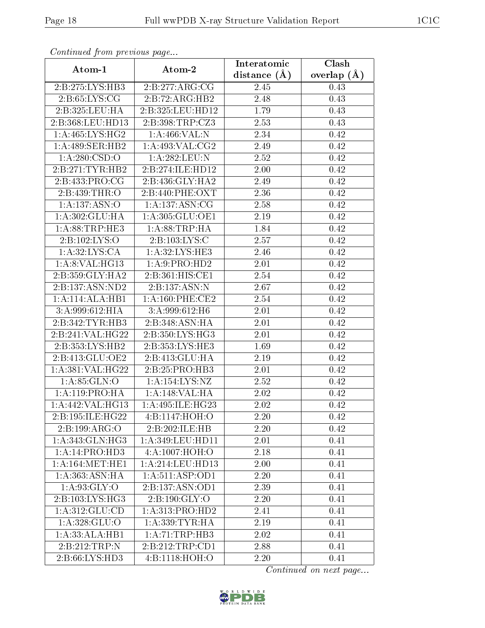| Commaca from previous page           |                            | Interatomic       | Clash           |
|--------------------------------------|----------------------------|-------------------|-----------------|
| Atom-1                               | Atom-2                     | distance $(A)$    | overlap $(\AA)$ |
| 2:B:275:LYS:HB3                      | 2:B:277:ARG:CG             | 2.45              | 0.43            |
| 2: B:65: LYS: CG                     | 2:B:72:ARG:HB2             | 2.48              | 0.43            |
| 2:B:325:LEU:HA                       | 2:B:325:LEU:HD12           | 1.79              | 0.43            |
| 2:B:368:LEU:HD13                     | 2:B:398:TRP:CZ3            | 2.53              | 0.43            |
| 1: A:465: LYS: HG2                   | 1: A:466: VAL:N            | 2.34              | 0.42            |
| 1:A:489:SER:HB2                      | 1: A:493: VAL: CG2         | 2.49              | 0.42            |
| 1: A:280: CSD:O                      | 1:A:282:LEU:N              | $\overline{2.52}$ | 0.42            |
| 2:B:271:TYR:HB2                      | 2:B:274:ILE:HD12           | 2.00              | 0.42            |
| 2: B: 433: PRO: CG                   | 2:B:436:GLY:HA2            | 2.49              | 0.42            |
| 2:B:439:THR:O                        | 2:B:440:PHE:OXT            | 2.36              | 0.42            |
| 1:A:137:ASN:O                        | 1:A:137:ASN:CG             | 2.58              | 0.42            |
| 1:A:302:GLU:HA                       | 1:A:305:GLU:OE1            | 2.19              | 0.42            |
| 1: A:88:TRP:HE3                      | 1: A:88:TRP:HA             | 1.84              | 0.42            |
| 2: B: 102: LYS: O                    | 2:B:103:LYS:C              | 2.57              | 0.42            |
| 1: A:32: LYS: CA                     | 1: A:32: LYS: HE3          | 2.46              | 0.42            |
| 1: A:8: VAL:HG13                     | 1:A:9:PRO:HD2              | 2.01              | 0.42            |
| 2:B:359:GLY:HA2                      | 2:B:361:HIS:CE1            | 2.54              | 0.42            |
| 2:B:137:ASN:ND2                      | $2:B:137:ASN:\overline{N}$ | 2.67              | 0.42            |
| 1:A:114:ALA:HB1                      | 1: A:160: PHE:CE2          | 2.54              | 0.42            |
| 3:A:999:612:HIA                      | 3:A:999:612:H6             | 2.01              | 0.42            |
| 2:B:342:TYR:HB3                      | 2:B:348:ASN:HA             | $\overline{2.0}1$ | 0.42            |
| 2:B:241:VAL:HG22                     | 2:B:350:LYS:HG3            | $2.01\,$          | 0.42            |
| 2:B:353:LYS:HB2                      | 2: B: 353: LYS: HE3        | 1.69              | 0.42            |
| 2:B:413:GLU:OE2                      | 2:B:413:GLU:HA             | 2.19              | 0.42            |
| 1:A:381:VAL:HG22                     | 2: B:25: PRO:HB3           | 2.01              | 0.42            |
| 1: A:85: GLN:O                       | 1:A:154:LYS:NZ             | $\overline{2}.52$ | 0.42            |
| 1:A:119:PRO:HA                       | 1: A:148: VAL:HA           | 2.02              | 0.42            |
| $1:A:442:\overline{\text{VAL}:HG13}$ | 1: A:495: ILE: HG23        | 2.02              | 0.42            |
| 2:B:195:ILE:HG22                     | 4:Bi:1147:HOH:O            | 2.20              | 0.42            |
| 2:B:199:ARG:O                        | 2:B:202:ILE:HB             | 2.20              | 0.42            |
| 1: A:343: GLN: HG3                   | 1: A:349:LEU:HD11          | 2.01              | 0.41            |
| 1:A:14:PRO:H <sub>D3</sub>           | 4:A:1007:HOH:O             | 2.18              | 0.41            |
| 1: A:164:MET:HE1                     | 1:A:214:LEU:HD13           | 2.00              | 0.41            |
| 1:A:363:ASN:HA                       | 1:A:511:ASP:OD1            | 2.20              | 0.41            |
| 1: A:93: GLY:O                       | 2:B:137:ASN:OD1            | 2.39              | 0.41            |
| $2:B:103:\overline{LYS:HG3}$         | 2:B:190:GLY:O              | 2.20              | 0.41            |
| 1:A:312:GLU:CD                       | 1:A:313:PRO:HD2            | 2.41              | 0.41            |
| 1:A:328:GLU:O                        | 1: A: 339: TYR: HA         | 2.19              | 0.41            |
| 1:A:33:ALA:HB1                       | 1:A:71:TRP:HB3             | 2.02              | 0.41            |
| 2:B:212:TRP:N                        | 2:B:212:TRP:CD1            | 2.88              | 0.41            |
| 2:B:66:LYS:HD3                       | 4:B:1118:HOH:O             | 2.20              | 0.41            |

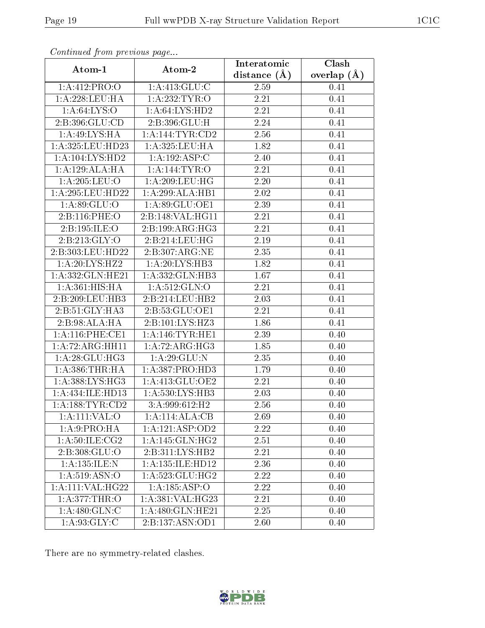| continuou pront protio de pago |                     | Interatomic       | Clash           |  |
|--------------------------------|---------------------|-------------------|-----------------|--|
| Atom-1                         | Atom-2              | distance $(A)$    | overlap $(\AA)$ |  |
| 1:A:412:PRO:O                  | 1: A: 413: GLU: C   | 2.59              | 0.41            |  |
| 1: A:228:LEU:HA                | 1:A:232:TYR:O       | 2.21              | 0.41            |  |
| 1: A:64:LYS:O                  | 1: A:64: LYS:HD2    | 2.21              | 0.41            |  |
| 2:B:396:GLU:CD                 | 2:B:396:GLU:H       | 2.24              | 0.41            |  |
| 1: A:49: LYS: HA               | 1: A:144:TYR:CD2    | 2.56              | 0.41            |  |
| 1:A:325:LEU:HD23               | 1:A:325:LEU:HA      | 1.82              | 0.41            |  |
| 1:A:104:LYS:HD2                | 1:A:192:ASP:C       | 2.40              | 0.41            |  |
| 1:A:129:ALA:HA                 | 1:A:144:TYR:O       | 2.21              | 0.41            |  |
| 1: A:205:LEU:O                 | 1: A:209:LEU:HG     | 2.20              | 0.41            |  |
| 1: A:295:LEU:HD22              | 1:A:299:ALA:HB1     | 2.02              | 0.41            |  |
| 1:A:89:GLU:O                   | 1:A:89:GLU:OE1      | 2.39              | 0.41            |  |
| 2:B:116:PHE:O                  | 2:B:148:VAL:HG11    | 2.21              | 0.41            |  |
| 2:B:195:ILE:O                  | 2:B:199:ARG:HG3     | 2.21              | 0.41            |  |
| 2:B:213:GLY:O                  | 2:B:214:LEU:HG      | $\overline{2}.19$ | 0.41            |  |
| 2:B:303:LEU:HD22               | 2:B:307:ARG:NE      | 2.35              | 0.41            |  |
| 1: A:20: LYS: HZ2              | 1:A:20:LYS:HB3      | 1.82              | 0.41            |  |
| 1:A:332:GLN:HE21               | 1:A:332:GLN:HB3     | 1.67              | 0.41            |  |
| 1: A:361: HIS: HA              | 1: A:512: GLN:O     | 2.21              | 0.41            |  |
| 2:B:209:LEU:HB3                | 2:B:214:LEU:HB2     | 2.03              | 0.41            |  |
| 2:B:51:GLY:HA3                 | 2:B:53:GLU:OE1      | 2.21              | 0.41            |  |
| 2:B:98:ALA:HA                  | 2:B:101:LYS:HZ3     | 1.86              | 0.41            |  |
| $1: A:116:$ PHE:CE1            | 1: A:146:TYR:HE1    | 2.39              | 0.40            |  |
| 1:A:72:ARG:HH11                | 1: A:72: ARG: HG3   | 1.85              | 0.40            |  |
| 1: A:28: GLU:HG3               | 1:A:29:GLU:N        | 2.35              | 0.40            |  |
| 1: A: 386: THR: HA             | 1:A:387:PRO:HD3     | 1.79              | 0.40            |  |
| 1: A: 388: LYS: HG3            | 1: A:413: GLU:OE2   | 2.21              | 0.40            |  |
| 1:A:434:ILE:HD13               | 1: A:530: LYS: HB3  | 2.03              | 0.40            |  |
| 1: A: 188: TYR: CD2            | 3:A:999:612:H2      | 2.56              | 0.40            |  |
| 1:A:111:VAL:O                  | 1:A:114:ALA:CB      | 2.69              | 0.40            |  |
| 1: A:9: PRO:HA                 | 1:A:121:ASP:OD2     | $\overline{2}.22$ | 0.40            |  |
| 1: A:50: ILE: CG2              | 1: A:145: GLN: HG2  | 2.51              | 0.40            |  |
| 2:B:308:GLU:O                  | 2:B:311:LYS:HB2     | 2.21              | 0.40            |  |
| 1: A: 135: ILE:N               | 1:A:135:ILE:HD12    | 2.36              | 0.40            |  |
| 1: A:519: ASN:O                | 1: A: 523: GLU: HG2 | 2.22              | 0.40            |  |
| 1: A: 111: VAL: HG22           | 1:A:185:ASP:O       | 2.22              | 0.40            |  |
| 1:A:377:THR:O                  | 1:A:381:VAL:HG23    | 2.21              | 0.40            |  |
| 1: A:480: GLN:C                | 1:A:480:GLN:HE21    | 2.25              | 0.40            |  |
| 1: A:93: GLY: C                | 2: B: 137: ASN: OD1 | 2.60              | 0.40            |  |

There are no symmetry-related clashes.

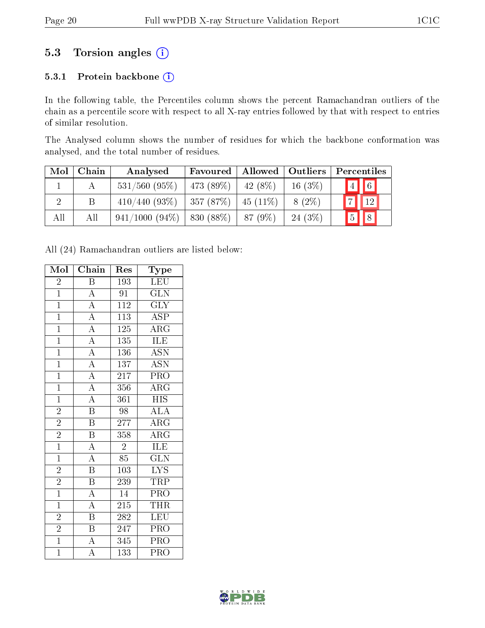## 5.3 Torsion angles (i)

#### 5.3.1 Protein backbone (i)

In the following table, the Percentiles column shows the percent Ramachandran outliers of the chain as a percentile score with respect to all X-ray entries followed by that with respect to entries of similar resolution.

The Analysed column shows the number of residues for which the backbone conformation was analysed, and the total number of residues.

| Mol | Chain | Analysed         | Favoured   Allowed   Outliers |            |           | Percentiles                  |
|-----|-------|------------------|-------------------------------|------------|-----------|------------------------------|
|     |       | $531/560$ (95%)  | 473 (89%)                     | $-42(8\%)$ | $16(3\%)$ | $\sqrt{6}$<br>$\boxed{4}$    |
|     | B     | $410/440$ (93\%) | 357(87%)                      | $45(11\%)$ | $8(2\%)$  | 12                           |
| All | All   | $941/1000(94\%)$ | 830 (88\%)                    | 87 (9\%)   | 24(3%)    | $\sqrt{8}$<br>$\overline{5}$ |

All (24) Ramachandran outliers are listed below:

| Mol            | Chain                   | Res              | $_{\rm Type}$             |
|----------------|-------------------------|------------------|---------------------------|
| $\overline{2}$ | $\overline{\mathrm{B}}$ | 193              | <b>LEU</b>                |
| $\mathbf{1}$   | $\overline{\rm A}$      | 91               | GLN                       |
| $\overline{1}$ | $\overline{A}$          | $\overline{112}$ | $\overline{\text{GLY}}$   |
| $\mathbf{1}$   | $\overline{A}$          | 113              | $\overline{\text{ASP}}$   |
| $\overline{1}$ | $\overline{A}$          | 125              | $\overline{\rm{ARG}}$     |
| $\overline{1}$ | $\overline{A}$          | 135              | <b>ILE</b>                |
| $\overline{1}$ | $\overline{A}$          | 136              | $\overline{\text{ASN}}$   |
| $\overline{1}$ | $\overline{A}$          | 137              | $\overline{\mathrm{ASN}}$ |
| $\overline{1}$ | $\overline{\rm A}$      | $\overline{217}$ | $\overline{\text{PRO}}$   |
| $\overline{1}$ | $\overline{A}$          | 356              | $\rm{ARG}$                |
| $\overline{1}$ | $\overline{A}$          | 361              | $\overline{HIS}$          |
| $\overline{2}$ | $\overline{\mathrm{B}}$ | 98               | $\overline{\rm ALA}$      |
| $\overline{2}$ | $\overline{\mathrm{B}}$ | 277              | $\overline{\rm{ARG}}$     |
| $\overline{2}$ | $\, {\bf B}$            | 358              | $\overline{\rm{ARG}}$     |
| $\overline{1}$ | $\overline{A}$          | $\overline{2}$   | $\overline{\text{ILE}}$   |
| $\overline{1}$ | $\overline{\rm A}$      | 85               | $\overline{\text{GLN}}$   |
| $\overline{2}$ | $\overline{\text{B}}$   | $\overline{103}$ | $\overline{\text{LYS}}$   |
| $\overline{2}$ | $\overline{\mathrm{B}}$ | 239              | <b>TRP</b>                |
| $\overline{1}$ | $\overline{\rm A}$      | $\overline{14}$  | $\overline{\text{PRO}}$   |
| $\overline{1}$ | $\overline{A}$          | $\overline{215}$ | <b>THR</b>                |
| $\overline{2}$ | $\overline{\mathrm{B}}$ | 282              | <b>LEU</b>                |
| $\overline{2}$ | $\overline{B}$          | 247              | PRO                       |
| $\overline{1}$ | $\overline{A}$          | 345              | $\overline{\text{PRO}}$   |
| $\mathbf{1}$   | A                       | 133              | PRO                       |

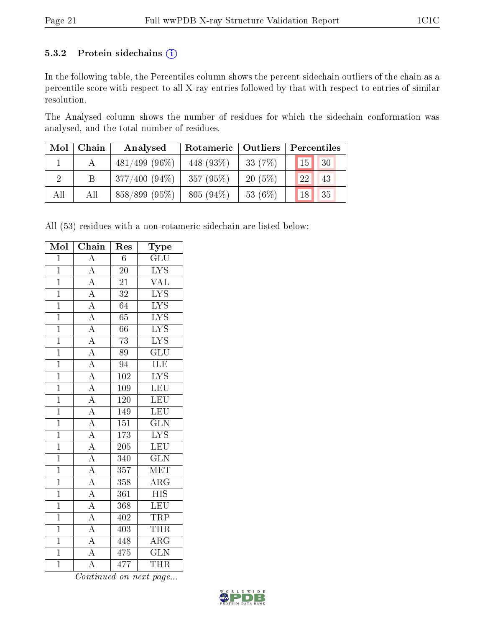#### 5.3.2 Protein sidechains (i)

In the following table, the Percentiles column shows the percent sidechain outliers of the chain as a percentile score with respect to all X-ray entries followed by that with respect to entries of similar resolution.

The Analysed column shows the number of residues for which the sidechain conformation was analysed, and the total number of residues.

| Mol | Chain | Analysed         | Rotameric   Outliers |            | Percentiles                    |
|-----|-------|------------------|----------------------|------------|--------------------------------|
|     |       | $481/499$ (96\%) | 448 (93\%)           | 33 $(7%)$  | $\sqrt{30}$<br>15 <sub>1</sub> |
|     | Β     | $377/400(94\%)$  | 357 (95%)            | $20(5\%)$  | 43<br>22                       |
| All | All   | $858/899$ (95\%) | $805(94\%)$          | 53 $(6\%)$ | 35<br>18                       |

All (53) residues with a non-rotameric sidechain are listed below:

| Mol            | Chain                               | Res              | Type                      |
|----------------|-------------------------------------|------------------|---------------------------|
| $\overline{1}$ | $\overline{\rm A}$                  | $\overline{6}$   | GLU                       |
| $\overline{1}$ | $\overline{A}$                      | $\overline{20}$  | $\overline{\text{LYS}}$   |
| $\overline{1}$ | $\overline{A}$                      | 21               | $\overline{\text{VAL}}$   |
| $\overline{1}$ | $\overline{A}$                      | 32               | $\overline{\text{LYS}}$   |
| $\overline{1}$ | $\frac{1}{A}$                       | $\overline{64}$  | $\overline{\text{LYS}}$   |
| $\overline{1}$ |                                     | $\overline{65}$  | $\overline{\text{LYS}}$   |
| $\overline{1}$ | $\frac{\overline{A}}{A}$            | $\overline{66}$  | $\overline{\text{LYS}}$   |
| $\overline{1}$ |                                     | $\overline{73}$  | $\overline{\text{LYS}}$   |
| $\overline{1}$ | $\frac{\overline{A}}{A}$            | $\overline{89}$  | $\overline{\text{GLU}}$   |
| $\overline{1}$ | $\overline{A}$                      | 94               | <b>ILE</b>                |
| $\overline{1}$ | $\frac{1}{A}$                       | $\overline{102}$ | $\overline{\text{LYS}}$   |
| $\overline{1}$ | $\frac{\overline{A}}{\overline{A}}$ | <b>109</b>       | LEU                       |
| $\overline{1}$ |                                     | 120              | LEU                       |
| $\overline{1}$ | $\overline{A}$                      | 149              | LEU                       |
| $\overline{1}$ | $\frac{\overline{A}}{\overline{A}}$ | $\overline{151}$ | $\overline{\text{GLN}}$   |
| $\overline{1}$ |                                     | $\overline{173}$ | $\overline{\text{LYS}}$   |
| $\overline{1}$ | $\frac{1}{\mathbf{A}}$              | $\overline{205}$ | LEU                       |
| $\overline{1}$ | $\overline{A}$                      | 340              | $\overline{\text{GLN}}$   |
| $\overline{1}$ | $\frac{\overline{A}}{\overline{A}}$ | $\overline{357}$ | $\overline{\text{MET}}$   |
| $\overline{1}$ |                                     | $\overline{358}$ | $\overline{\rm{ARG}}$     |
| $\overline{1}$ | $\frac{1}{A}$                       | 361              | $\overline{\mathrm{HIS}}$ |
| $\overline{1}$ | $\frac{\overline{A}}{\overline{A}}$ | 368              | LEU                       |
| $\overline{1}$ |                                     | 402              | $\overline{\text{TRP}}$   |
| $\overline{1}$ | $\overline{A}$                      | $\overline{403}$ | <b>THR</b>                |
| $\overline{1}$ | $\overline{A}$                      | 448              | $\overline{\rm{ARG}}$     |
| $\overline{1}$ | $\overline{A}$                      | $\overline{475}$ | $\overline{\text{GLN}}$   |
| $\overline{1}$ | $\overline{\rm A}$                  | 477              | <b>THR</b>                |

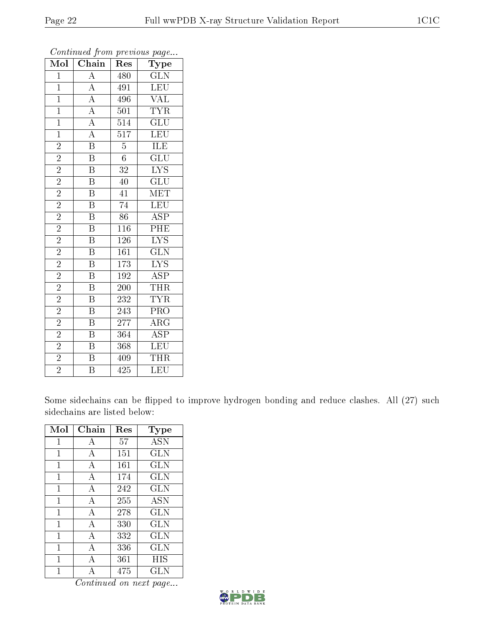| Mol            | Chain                                | Res              | Type                      |
|----------------|--------------------------------------|------------------|---------------------------|
| $\overline{1}$ | A                                    | 480              | GLN                       |
| $\overline{1}$ |                                      | 491              | <b>LEU</b>                |
| $\overline{1}$ | $\frac{\overline{A}}{\underline{A}}$ | 496              | <b>VAL</b>                |
| $\overline{1}$ | $\overline{A}$                       | 501              | $\overline{\text{TYR}}$   |
| $\overline{1}$ | $\overline{A}$                       | 514              | $\overline{\text{GLU}}$   |
| $\overline{1}$ | $\overline{A}$                       | $\overline{517}$ | LEU                       |
| $\overline{2}$ | $\overline{\mathbf{B}}$              | $\overline{5}$   | <b>ILE</b>                |
| $\overline{2}$ | $\overline{\mathrm{B}}$              | $\overline{6}$   | $\overline{\text{GLU}}$   |
| $\overline{2}$ | $\overline{\mathrm{B}}$              | 32               | $\overline{\text{LYS}}$   |
| $\overline{2}$ | $\overline{\mathrm{B}}$              | $\overline{40}$  | $\overline{\text{GLU}}$   |
| $\overline{2}$ | $\overline{\mathrm{B}}$              | 41               | $\overline{\text{MET}}$   |
| $\overline{2}$ | $\overline{\mathrm{B}}$              | $\overline{74}$  | LEU                       |
| $\overline{2}$ | $\overline{\mathbf{B}}$              | $\overline{86}$  | $\overline{\text{ASP}}$   |
| $\overline{2}$ | $\overline{\mathrm{B}}$              | 116              | $\overline{\mathrm{PHE}}$ |
| $\overline{2}$ | $\overline{\mathbf{B}}$              | 126              | $\overline{\text{LYS}}$   |
| $\overline{2}$ | $\overline{\mathrm{B}}$              | 161              | $\overline{\text{GLN}}$   |
| $\overline{2}$ | $\overline{\mathrm{B}}$              | 173              | $\overline{\mathrm{LYS}}$ |
| $\overline{2}$ | $\, {\bf B}$                         | 192              | <b>ASP</b>                |
| $\overline{2}$ | $\overline{\mathrm{B}}$              | 200              | THR                       |
| $\overline{2}$ | $\overline{\mathrm{B}}$              | 232              | <b>TYR</b>                |
| $\overline{2}$ | $\overline{\mathrm{B}}$              | 243              | $\overline{\text{PRO}}$   |
| $\overline{2}$ | $\overline{\mathrm{B}}$              | $\overline{277}$ | $\overline{\rm{ARG}}$     |
| $\overline{2}$ | $\overline{\mathbf{B}}$              | 364              | <b>ASP</b>                |
| $\overline{2}$ | $\overline{\mathrm{B}}$              | 368              | LEU                       |
| $\overline{2}$ | $\overline{\mathrm{B}}$              | 409              | THR                       |
| $\overline{2}$ | $\overline{\mathrm{B}}$              | $\overline{425}$ | $\overline{\text{LEU}}$   |

Some sidechains can be flipped to improve hydrogen bonding and reduce clashes. All (27) such sidechains are listed below:

| Mol          | Chain          | Res | Type       |
|--------------|----------------|-----|------------|
| $\mathbf{1}$ | А              | 57  | <b>ASN</b> |
| 1            | А              | 151 | <b>GLN</b> |
| 1            | А              | 161 | GLN        |
| 1            | А              | 174 | <b>GLN</b> |
| 1            | $\overline{A}$ | 242 | <b>GLN</b> |
| 1            | $\mathbf{A}$   | 255 | <b>ASN</b> |
| 1            | A              | 278 | GLN        |
| 1            | А              | 330 | <b>GLN</b> |
| 1            | А              | 332 | GLN        |
| 1            | А              | 336 | <b>GLN</b> |
| 1            | A              | 361 | HIS        |
|              |                | 475 | GLN        |

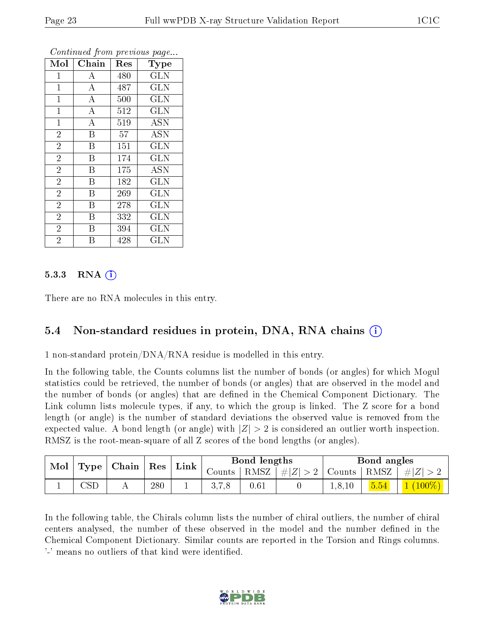| Mol            | Chain              | Res | <b>Type</b> |
|----------------|--------------------|-----|-------------|
| $\mathbf{1}$   | A                  | 480 | <b>GLN</b>  |
| $\mathbf{1}$   | $\bf{A}$           | 487 | <b>GLN</b>  |
| $\mathbf{1}$   | $\boldsymbol{A}$   | 500 | <b>GLN</b>  |
| $\mathbf{1}$   | $\bf{A}$           | 512 | <b>GLN</b>  |
| $\mathbf{1}$   | $\overline{\rm A}$ | 519 | ASN         |
| $\overline{2}$ | $\overline{B}$     | 57  | <b>ASN</b>  |
| $\overline{2}$ | B                  | 151 | <b>GLN</b>  |
| $\overline{2}$ | $\overline{B}$     | 174 | <b>GLN</b>  |
| $\overline{2}$ | B                  | 175 | ASN         |
| $\overline{2}$ | B                  | 182 | GLN         |
| $\overline{2}$ | $\overline{B}$     | 269 | <b>GLN</b>  |
| $\overline{2}$ | B                  | 278 | GLN         |
| $\overline{2}$ | B                  | 332 | GLN         |
| $\overline{2}$ | B                  | 394 | <b>GLN</b>  |
| $\overline{2}$ | В                  | 428 | GLN         |

#### $5.3.3$  RNA  $(i)$

There are no RNA molecules in this entry.

#### 5.4 Non-standard residues in protein, DNA, RNA chains (i)

1 non-standard protein/DNA/RNA residue is modelled in this entry.

In the following table, the Counts columns list the number of bonds (or angles) for which Mogul statistics could be retrieved, the number of bonds (or angles) that are observed in the model and the number of bonds (or angles) that are defined in the Chemical Component Dictionary. The Link column lists molecule types, if any, to which the group is linked. The Z score for a bond length (or angle) is the number of standard deviations the observed value is removed from the expected value. A bond length (or angle) with  $|Z| > 2$  is considered an outlier worth inspection. RMSZ is the root-mean-square of all Z scores of the bond lengths (or angles).

| Mol | Res<br>$\mid$ Chain<br>Type | ' Link |  | Bond lengths                       |      | Bond angles        |        |      |           |
|-----|-----------------------------|--------|--|------------------------------------|------|--------------------|--------|------|-----------|
|     |                             |        |  | $\frac{1}{2}$ Counts $\frac{1}{2}$ |      | RMSZ   $\# Z  > 2$ | Counts | RMSZ | $\pm  Z $ |
|     | $\mathbb{C}\mathrm{SL}$     | 280    |  | 3.7.8                              | 0.61 |                    | 1.8.10 | 5.54 | $(100\%)$ |

In the following table, the Chirals column lists the number of chiral outliers, the number of chiral centers analysed, the number of these observed in the model and the number defined in the Chemical Component Dictionary. Similar counts are reported in the Torsion and Rings columns. '-' means no outliers of that kind were identified.

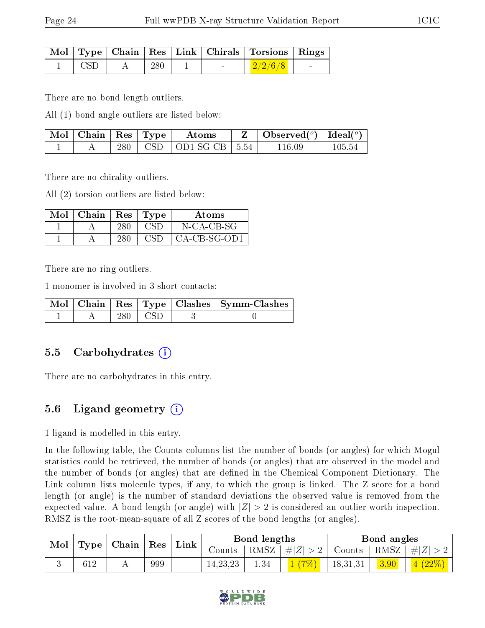|             |     |  | Mol   Type   Chain   Res   Link   Chirals   Torsions   Rings |        |
|-------------|-----|--|--------------------------------------------------------------|--------|
| $\perp$ CSD | 280 |  | $\mid$ 2/2/6/8                                               | $\sim$ |

There are no bond length outliers.

All (1) bond angle outliers are listed below:

| Mol   Chain   Res   Type |     | Atoms                                      | Observed $(^\circ)$   Ideal $(^\circ)$ |        |
|--------------------------|-----|--------------------------------------------|----------------------------------------|--------|
|                          | 280 | $\vert$ CSD $\vert$ OD1-SG-CB $\vert$ 5.54 | ' 16 09                                | 105.54 |

There are no chirality outliers.

All (2) torsion outliers are listed below:

| $\operatorname{Mol}$ | Chain | $\operatorname{Res}$ | 'Type         | Atoms          |
|----------------------|-------|----------------------|---------------|----------------|
|                      |       |                      |               | N-CA-CB-SG     |
|                      |       | 280                  | $\sim$ $(21)$ | $CA-CB-SG-OD1$ |

There are no ring outliers.

1 monomer is involved in 3 short contacts:

|  |     |       | Mol   Chain   Res   Type   Clashes   Symm-Clashes |
|--|-----|-------|---------------------------------------------------|
|  | 280 | ⊥ CSD |                                                   |

#### 5.5 Carbohydrates (i)

There are no carbohydrates in this entry.

## 5.6 Ligand geometry  $(i)$

1 ligand is modelled in this entry.

In the following table, the Counts columns list the number of bonds (or angles) for which Mogul statistics could be retrieved, the number of bonds (or angles) that are observed in the model and the number of bonds (or angles) that are dened in the Chemical Component Dictionary. The Link column lists molecule types, if any, to which the group is linked. The Z score for a bond length (or angle) is the number of standard deviations the observed value is removed from the expected value. A bond length (or angle) with  $|Z| > 2$  is considered an outlier worth inspection. RMSZ is the root-mean-square of all Z scores of the bond lengths (or angles).

| $\bf{Mol}$ | $\mid$ Type $\mid$ Chain $\mid$ Res $\mid$ |     |                     |            | Bond lengths |                    |               | Bond angles |         |
|------------|--------------------------------------------|-----|---------------------|------------|--------------|--------------------|---------------|-------------|---------|
|            |                                            |     | $^{\shortmid}$ Link | Counts     | RMSZ         | $\vert \#  Z  > 2$ | Counts   RMSZ |             | #Z      |
|            |                                            | 999 |                     | 14, 23, 23 | $1.34\,$     | $(7\%)$            | 18,31,31      | 3.90        | $(22\%$ |

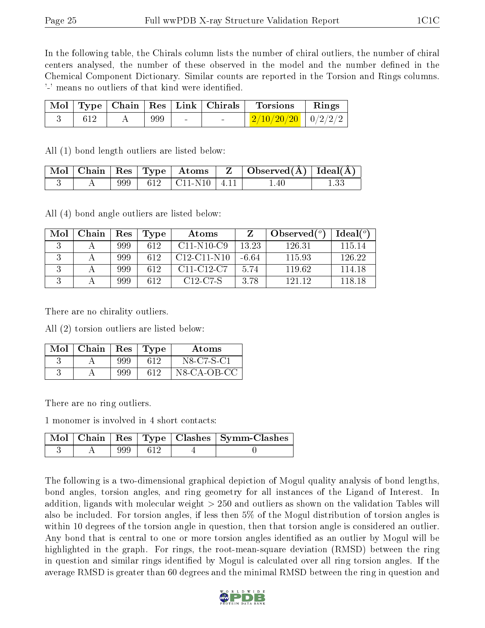In the following table, the Chirals column lists the number of chiral outliers, the number of chiral centers analysed, the number of these observed in the model and the number defined in the Chemical Component Dictionary. Similar counts are reported in the Torsion and Rings columns. '-' means no outliers of that kind were identified.

|      |     |        | $\mid$ Mol $\mid$ Type $\mid$ Chain $\mid$ Res $\mid$ Link $\mid$ Chirals $\mid$ Torsions | $\mathbf{Rings}$ |
|------|-----|--------|-------------------------------------------------------------------------------------------|------------------|
| -612 | 999 | $\sim$ | $\frac{2}{10/20/20}$   0/2/2/2                                                            |                  |

All (1) bond length outliers are listed below:

|  |  |                            | $\mid$ Mol $\mid$ Chain $\mid$ Res $\mid$ Type $\mid$ Atoms $\mid$ Z $\mid$ Observed(Å) $\mid$ Ideal(Å) $\mid$ |  |
|--|--|----------------------------|----------------------------------------------------------------------------------------------------------------|--|
|  |  | 999   612   C11-N10   4.11 | 1.40                                                                                                           |  |

All (4) bond angle outliers are listed below:

| Mol | Chain | Res | Type | Atoms                                            |         | Observed $(°)$ | Ideal $(°)$ |
|-----|-------|-----|------|--------------------------------------------------|---------|----------------|-------------|
|     |       | 999 | -612 | $C11-N10-C9$                                     | 13.23   | 126.31         | 115 14      |
|     |       | 999 | 612  | $C12-C11-N10$                                    | $-6.64$ | 115.93         | 126.22      |
|     |       | 999 | 612  | C <sub>11</sub> -C <sub>12</sub> -C <sub>7</sub> | 5.74    | 119.62         | 114.18      |
|     |       | 999 | 612  | C <sub>12</sub> -C <sub>7</sub> -S               | 3.78    | 121 12         | 118 18      |

There are no chirality outliers.

All (2) torsion outliers are listed below:

| Mol | Chain | Res | Type | Atoms       |
|-----|-------|-----|------|-------------|
|     |       | 999 | 612  | N8-C7-S-C1  |
|     |       | 999 | 612  | N8-CA-OB-CC |

There are no ring outliers.

1 monomer is involved in 4 short contacts:

|  |               | $\mid$ Mol $\mid$ Chain $\mid$ Res $\mid$ Type $\mid$ Clashes $\mid$ Symm-Clashes $\mid$ |
|--|---------------|------------------------------------------------------------------------------------------|
|  | $999 \pm 612$ |                                                                                          |

The following is a two-dimensional graphical depiction of Mogul quality analysis of bond lengths, bond angles, torsion angles, and ring geometry for all instances of the Ligand of Interest. In addition, ligands with molecular weight > 250 and outliers as shown on the validation Tables will also be included. For torsion angles, if less then 5% of the Mogul distribution of torsion angles is within 10 degrees of the torsion angle in question, then that torsion angle is considered an outlier. Any bond that is central to one or more torsion angles identified as an outlier by Mogul will be highlighted in the graph. For rings, the root-mean-square deviation (RMSD) between the ring in question and similar rings identified by Mogul is calculated over all ring torsion angles. If the average RMSD is greater than 60 degrees and the minimal RMSD between the ring in question and

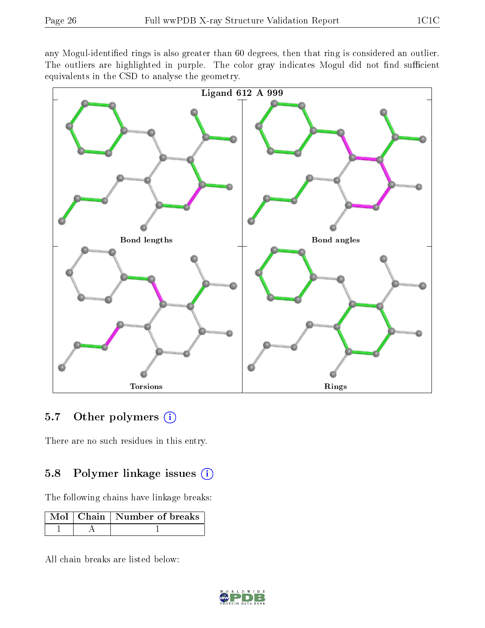any Mogul-identified rings is also greater than 60 degrees, then that ring is considered an outlier. The outliers are highlighted in purple. The color gray indicates Mogul did not find sufficient equivalents in the CSD to analyse the geometry.



#### 5.7 [O](https://www.wwpdb.org/validation/2017/XrayValidationReportHelp#nonstandard_residues_and_ligands)ther polymers  $(i)$

There are no such residues in this entry.

#### 5.8 Polymer linkage issues  $(i)$

The following chains have linkage breaks:

|  | Mol   Chain   Number of breaks |
|--|--------------------------------|
|  |                                |

All chain breaks are listed below:

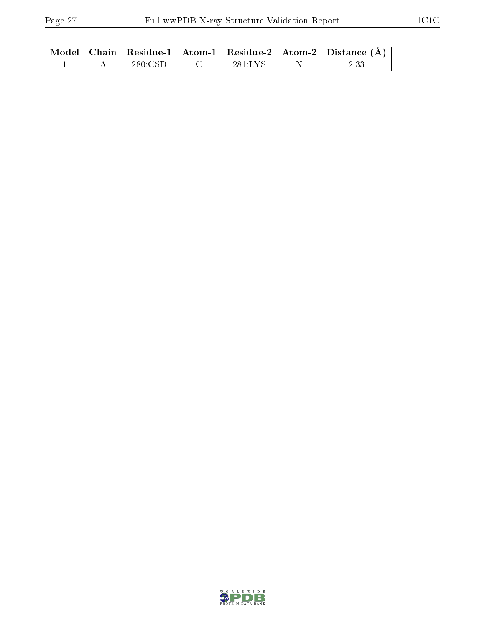|  |         |         | Model   Chain   Residue-1   Atom-1   Residue-2   Atom-2   Distance $(A)$ |
|--|---------|---------|--------------------------------------------------------------------------|
|  | 280.CST | 281 LYS |                                                                          |

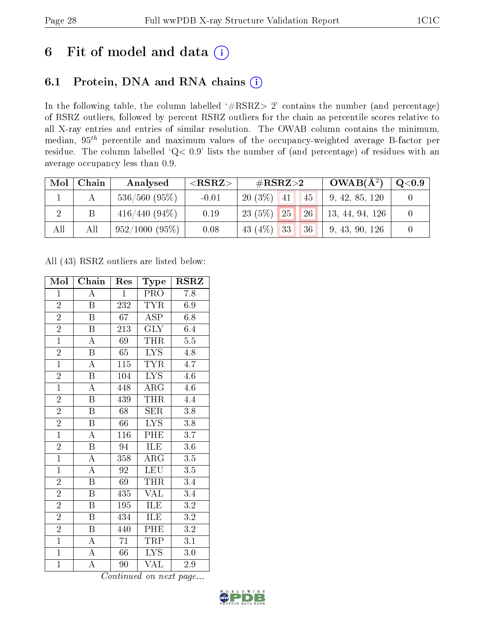# 6 Fit of model and data  $(i)$

## 6.1 Protein, DNA and RNA chains  $(i)$

In the following table, the column labelled  $#RSRZ> 2'$  contains the number (and percentage) of RSRZ outliers, followed by percent RSRZ outliers for the chain as percentile scores relative to all X-ray entries and entries of similar resolution. The OWAB column contains the minimum, median,  $95<sup>th</sup>$  percentile and maximum values of the occupancy-weighted average B-factor per residue. The column labelled ' $Q< 0.9$ ' lists the number of (and percentage) of residues with an average occupancy less than 0.9.

| Mol            | Chain | Analysed         | ${ <\hspace{-1.5pt}{\mathrm{RSRZ}} \hspace{-1.5pt}>}$ | $\#\text{RSRZ}{>}2$      | $OWAB(A^2)$     | $\mathrm{Q}{<}0.9$ |
|----------------|-------|------------------|-------------------------------------------------------|--------------------------|-----------------|--------------------|
|                |       | $536/560$ (95%)  | $-0.01$                                               | $20(3\%)$ 41<br>45       | 9, 42, 85, 120  |                    |
| $\overline{2}$ |       | $416/440 (94\%)$ | 0.19                                                  | 26 <br> 25 <br>$23(5\%)$ | 13, 44, 94, 126 |                    |
| All            | All   | 952/1000 (95%)   | 0.08                                                  | 43 $(4\%)$ 33<br>36      | 9, 43, 90, 126  |                    |

All (43) RSRZ outliers are listed below:

| Mol            | Chain                   | Res              | $_{\rm Type}$           | $\rm RSRZ$       |
|----------------|-------------------------|------------------|-------------------------|------------------|
| $\mathbf{1}$   | A                       | $\mathbf{1}$     | <b>PRO</b>              | 7.8              |
| $\overline{2}$ | B                       | 232              | <b>TYR</b>              | 6.9              |
| $\overline{2}$ | $\overline{\mathbf{B}}$ | $\overline{67}$  | $\overline{\text{ASP}}$ | 6.8              |
| $\overline{2}$ | $\boldsymbol{B}$        | 213              | <b>GLY</b>              | 6.4              |
| $\overline{1}$ | $\overline{\rm A}$      | 69               | <b>THR</b>              | $\overline{5.5}$ |
| $\overline{2}$ | $\boldsymbol{B}$        | 65               | LYS                     | 4.8              |
| $\overline{1}$ | $\overline{\rm A}$      | 115              | <b>TYR</b>              | $4.\overline{7}$ |
| $\overline{2}$ | $\overline{\mathrm{B}}$ | 104              | <b>LYS</b>              | 4.6              |
| $\overline{1}$ | $\overline{\rm A}$      | 448              | $\rm{ARG}$              | 4.6              |
| $\overline{2}$ | $\overline{\mathrm{B}}$ | 439              | <b>THR</b>              | 4.4              |
| $\overline{2}$ | $\overline{\mathbf{B}}$ | 68               | <b>SER</b>              | 3.8              |
| $\overline{2}$ | $\overline{\mathrm{B}}$ | 66               | $\overline{\text{LYS}}$ | $\overline{3.8}$ |
| $\overline{1}$ | $\overline{\rm A}$      | 116              | PHE                     | 3.7              |
| $\overline{2}$ | $\overline{\mathrm{B}}$ | 94               | ILE                     | $3.6\,$          |
| $\overline{1}$ | $\overline{\rm A}$      | 358              | $\overline{\rm{ARG}}$   | $\overline{3.5}$ |
| $\overline{1}$ | $\overline{\rm A}$      | $92\overline{)}$ | <b>LEU</b>              | 3.5              |
| $\overline{2}$ | $\overline{\mathrm{B}}$ | $\overline{69}$  | THR                     | $\overline{3.4}$ |
| $\overline{2}$ | $\boldsymbol{B}$        | 435              | <b>VAL</b>              | $\overline{3.4}$ |
| $\overline{2}$ | $\overline{\mathrm{B}}$ | 195              | ILE                     | $\overline{3.2}$ |
| $\overline{2}$ | $\overline{B}$          | 434              | ILE                     | 3.2              |
| $\overline{2}$ | $\boldsymbol{B}$        | 440              | PHE                     | $\overline{3.2}$ |
| $\overline{1}$ | А                       | 71               | TRP                     | $\overline{3.1}$ |
| $\mathbf{1}$   | $\boldsymbol{A}$        | 66               | <b>LYS</b>              | $3.0\,$          |
| $\mathbf{1}$   | $\overline{\rm A}$      | 90               | VAL                     | $2.9\,$          |

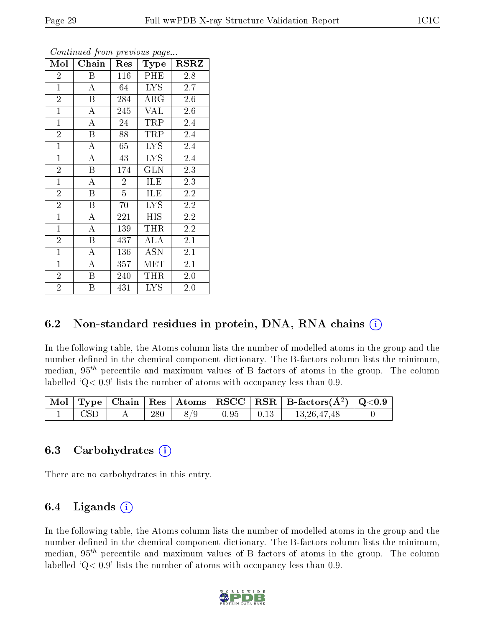| Mol            | Chain                   | Res            | Type       | <b>RSRZ</b>      |
|----------------|-------------------------|----------------|------------|------------------|
| $\overline{2}$ | B                       | 116            | PHE        | 2.8              |
| $\overline{1}$ | $\boldsymbol{A}$        | 64             | <b>LYS</b> | 2.7              |
| $\overline{2}$ | B                       | 284            | $\rm{ARG}$ | 2.6              |
| $\mathbf{1}$   | A                       | 245            | <b>VAL</b> | 2.6              |
| $\mathbf{1}$   | A                       | 24             | TRP        | 2.4              |
| $\overline{2}$ | B                       | 88             | TRP        | 2.4              |
| $\mathbf{1}$   | $\boldsymbol{A}$        | 65             | <b>LYS</b> | 2.4              |
| $\mathbf{1}$   | $\overline{\rm A}$      | 43             | <b>LYS</b> | 2.4              |
| $\overline{2}$ | B                       | 174            | GLN        | 2.3              |
| $\mathbf{1}$   | A                       | $\overline{2}$ | ILE        | 2.3              |
| $\overline{2}$ | B                       | $\overline{5}$ | ILE        | 2.2              |
| $\overline{2}$ | B                       | 70             | <b>LYS</b> | $2.\overline{2}$ |
| $\mathbf{1}$   | А                       | 221            | HIS        | 2.2              |
| $\mathbf{1}$   | A                       | 139            | THR        | 2.2              |
| $\overline{2}$ | $\overline{\mathrm{B}}$ | 437            | ALA        | 2.1              |
| $\mathbf{1}$   | A                       | 136            | <b>ASN</b> | 2.1              |
| $\mathbf{1}$   | A                       | 357            | MET        | 2.1              |
| $\overline{2}$ | B                       | 240            | THR        | 2.0              |
| $\overline{2}$ | B                       | 431            | <b>LYS</b> | 2.0              |

## 6.2 Non-standard residues in protein, DNA, RNA chains  $(i)$

In the following table, the Atoms column lists the number of modelled atoms in the group and the number defined in the chemical component dictionary. The B-factors column lists the minimum, median,  $95<sup>th</sup>$  percentile and maximum values of B factors of atoms in the group. The column labelled  $Q< 0.9$ ' lists the number of atoms with occupancy less than 0.9.

|            |     |     |      |                                                               | $\boxed{\text{ Mol}}$ Type   Chain   Res   Atoms   RSCC   RSR   B-factors( $\AA^2$ )   Q<0.9 |  |
|------------|-----|-----|------|---------------------------------------------------------------|----------------------------------------------------------------------------------------------|--|
| <b>CSD</b> | 280 | 8/9 | 0.95 | $\begin{array}{ c c c c c } \hline 0.13 & \hline \end{array}$ | 13,26,47,48                                                                                  |  |

#### 6.3 Carbohydrates (i)

There are no carbohydrates in this entry.

## 6.4 Ligands  $(i)$

In the following table, the Atoms column lists the number of modelled atoms in the group and the number defined in the chemical component dictionary. The B-factors column lists the minimum, median,  $95<sup>th</sup>$  percentile and maximum values of B factors of atoms in the group. The column labelled  $Q < 0.9$ ' lists the number of atoms with occupancy less than 0.9.